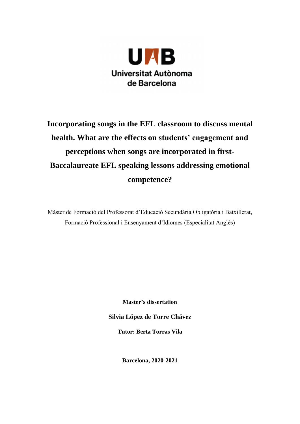

# **Incorporating songs in the EFL classroom to discuss mental health. What are the effects on students' engagement and perceptions when songs are incorporated in first-Baccalaureate EFL speaking lessons addressing emotional competence?**

Màster de Formació del Professorat d'Educació Secundària Obligatòria i Batxillerat, Formació Professional i Ensenyament d'Idiomes (Especialitat Anglès)

**Master's dissertation**

**Silvia López de Torre Chávez**

**Tutor: Berta Torras Vila**

**Barcelona, 2020-2021**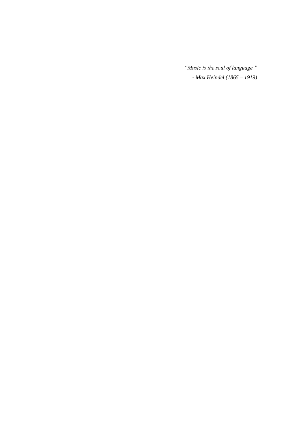*"Music is the soul of language." - Max Heindel (1865 – 1919)*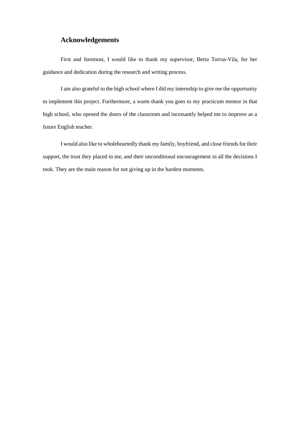# **Acknowledgements**

First and foremost, I would like to thank my supervisor, Berta Torras-Vila, for her guidance and dedication during the research and writing process.

I am also grateful to the high school where I did my internship to give me the opportunity to implement this project. Furthermore, a warm thank you goes to my practicum mentor in that high school, who opened the doors of the classroom and incessantly helped me to improve as a future English teacher.

I would also like to wholeheartedly thank my family, boyfriend, and close friends for their support, the trust they placed in me, and their unconditional encouragement in all the decisions I took. They are the main reason for not giving up in the hardest moments.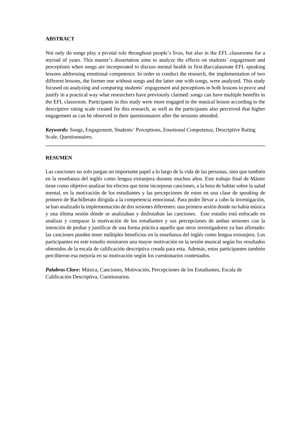#### **ABSTRACT**

Not only do songs play a pivotal role throughout people's lives, but also in the EFL classrooms for a myriad of years. This master's dissertation aims to analyze the effects on students' engagement and perceptions when songs are incorporated to discuss mental health in first-Baccalaureate EFL speaking lessons addressing emotional competence. In order to conduct the research, the implementation of two different lessons, the former one without songs and the latter one with songs, were analyzed. This study focused on analyzing and comparing students' engagement and perceptions in both lessons to prove and justify in a practical way what researchers have previously claimed: songs can have multiple benefits in the EFL classroom. Participants in this study were more engaged in the musical lesson according to the descriptive rating scale created for this research, as well as the participants also perceived that higher engagement as can be observed in their questionnaires after the sessions attended.

*Keywords:* Songs, Engagement, Students' Perceptions, Emotional Competence, Descriptive Rating Scale, Questionnaires.

**\_\_\_\_\_\_\_\_\_\_\_\_\_\_\_\_\_\_\_\_\_\_\_\_\_\_\_\_\_\_\_\_\_\_\_\_\_\_\_\_\_\_\_\_\_\_\_\_\_\_\_\_\_\_\_\_\_\_\_\_\_\_\_\_\_\_\_\_\_\_\_\_\_\_\_\_\_\_\_\_\_\_\_**

#### **RESUMEN**

Las canciones no solo juegan un importante papel a lo largo de la vida de las personas, sino que también en la enseñanza del inglés como lengua extranjera durante muchos años. Este trabajo final de Máster tiene como objetivo analizar los efectos que tiene incorporar canciones, a la hora de hablar sobre la salud mental, en la motivación de los estudiantes y las percepciones de estos en una clase de *speaking* de primero de Bachillerato dirigida a la competencia emocional. Para poder llevar a cabo la investigación, se han analizado la implementación de dos sesiones diferentes: una primera sesión donde no había música y una última sesión dónde se analizaban y disfrutaban las canciones. Este estudio está enfocado en analizar y comparar la motivación de los estudiantes y sus percepciones de ambas sesiones con la intención de probar y justificar de una forma práctica aquello que otros investigadores ya han afirmado: las canciones pueden tener múltiples beneficios en la enseñanza del inglés como lengua extranjera. Los participantes en este estudio mostraron una mayor motivación en la sesión musical según los resultados obtenidos de la escala de calificación descriptiva creada para esta. Además, estos participantes también percibieron esa mejoría en su motivación según los cuestionarios contestados.

*Palabras Clave:* Música, Canciones, Motivación, Percepciones de los Estudiantes, Escala de Calificación Descriptiva, Cuestionarios.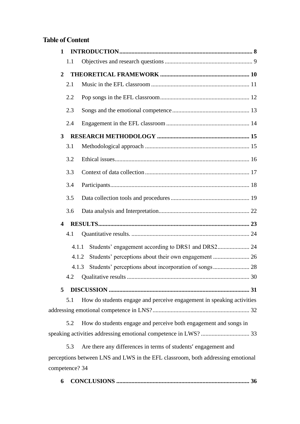# **Table of Content**

| $\mathbf{1}$   |                                                                                 |
|----------------|---------------------------------------------------------------------------------|
| 1.1            |                                                                                 |
| $\overline{2}$ |                                                                                 |
| 2.1            |                                                                                 |
| 2.2            |                                                                                 |
| 2.3            |                                                                                 |
| 2.4            |                                                                                 |
| 3              |                                                                                 |
| 3.1            |                                                                                 |
| 3.2            |                                                                                 |
| 3.3            |                                                                                 |
| 3.4            |                                                                                 |
| 3.5            |                                                                                 |
| 3.6            |                                                                                 |
| 4              |                                                                                 |
| 4.1            |                                                                                 |
|                | Students' engagement according to DRS1 and DRS2 24<br>4.1.1                     |
|                | Students' perceptions about their own engagement  26<br>4.1.2                   |
|                | Students' perceptions about incorporation of songs 28<br>4.1.3                  |
| 4.2            |                                                                                 |
| 5              |                                                                                 |
| 5.1            | How do students engage and perceive engagement in speaking activities           |
|                |                                                                                 |
| 5.2            | How do students engage and perceive both engagement and songs in                |
|                |                                                                                 |
| 5.3            | Are there any differences in terms of students' engagement and                  |
|                | perceptions between LNS and LWS in the EFL classroom, both addressing emotional |
| competence? 34 |                                                                                 |

**6 CONCLUSIONS [........................................................................................](#page-35-0) 36**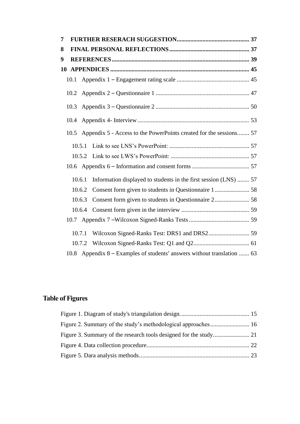| 7  |        |                                                                         |  |
|----|--------|-------------------------------------------------------------------------|--|
| 8  |        |                                                                         |  |
| 9  |        |                                                                         |  |
| 10 |        |                                                                         |  |
|    | 10.1   |                                                                         |  |
|    | 10.2   |                                                                         |  |
|    | 10.3   |                                                                         |  |
|    | 10.4   |                                                                         |  |
|    | 10.5   | Appendix 5 - Access to the PowerPoints created for the sessions 57      |  |
|    | 10.5.1 |                                                                         |  |
|    | 10.5.2 |                                                                         |  |
|    |        |                                                                         |  |
|    | 10.6.1 | Information displayed to students in the first session (LNS)  57        |  |
|    | 10.6.2 |                                                                         |  |
|    | 10.6.3 |                                                                         |  |
|    | 10.6.4 |                                                                         |  |
|    |        |                                                                         |  |
|    | 10.7.1 |                                                                         |  |
|    | 10.7.2 |                                                                         |  |
|    |        | 10.8 Appendix 8 – Examples of students' answers without translation  63 |  |

# **Table of Figures**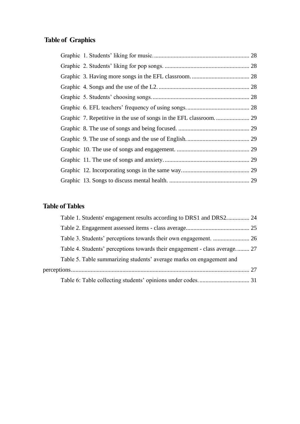# **Table of Graphics**

# **Table of Tables**

| Table 1. Students' engagement results according to DRS1 and DRS2 24        |  |
|----------------------------------------------------------------------------|--|
|                                                                            |  |
|                                                                            |  |
| Table 4. Students' perceptions towards their engagement - class average 27 |  |
| Table 5. Table summarizing students' average marks on engagement and       |  |
|                                                                            |  |
|                                                                            |  |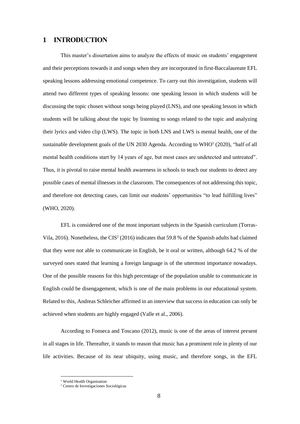### <span id="page-7-0"></span>**1 INTRODUCTION**

This master's dissertation aims to analyze the effects of music on students' engagement and their perceptions towards it and songs when they are incorporated in first-Baccalaureate EFL speaking lessons addressing emotional competence. To carry out this investigation, students will attend two different types of speaking lessons: one speaking lesson in which students will be discussing the topic chosen without songs being played (LNS), and one speaking lesson in which students will be talking about the topic by listening to songs related to the topic and analyzing their lyrics and video clip (LWS). The topic in both LNS and LWS is mental health, one of the sustainable development goals of the UN 2030 Agenda. According to WHO<sup>1</sup> (2020), "half of all mental health conditions start by 14 years of age, but most cases are undetected and untreated". Thus, it is pivotal to raise mental health awareness in schools to teach our students to detect any possible cases of mental illnesses in the classroom. The consequences of not addressing this topic, and therefore not detecting cases, can limit our students' opportunities "to lead fulfilling lives" (WHO, 2020).

EFL is considered one of the most important subjects in the Spanish curriculum (Torras-Vila, 2016). Nonetheless, the CIS<sup>2</sup> (2016) indicates that 59.8 % of the Spanish adults had claimed that they were not able to communicate in English, be it oral or written, although 64.2 % of the surveyed ones stated that learning a foreign language is of the uttermost importance nowadays. One of the possible reasons for this high percentage of the population unable to communicate in English could be disengagement, which is one of the main problems in our educational system. Related to this, Andreas Schleicher affirmed in an interview that success in education can only be achieved when students are highly engaged (Valle et al., 2006).

According to Fonseca and Toscano (2012), music is one of the areas of interest present in all stages in life. Thereafter, it stands to reason that music has a prominent role in plenty of our life activities. Because of its near ubiquity, using music, and therefore songs, in the EFL

<sup>&</sup>lt;sup>1</sup> World Health Organisation

<sup>2</sup> Centro de Investigaciones Sociológicas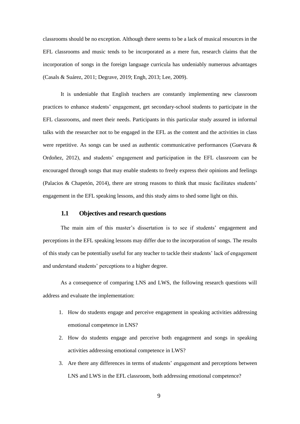classrooms should be no exception. Although there seems to be a lack of musical resources in the EFL classrooms and music tends to be incorporated as a mere fun, research claims that the incorporation of songs in the foreign language curricula has undeniably numerous advantages (Casals & Suárez, 2011; Degrave, 2019; Engh, 2013; Lee, 2009).

It is undeniable that English teachers are constantly implementing new classroom practices to enhance students' engagement, get secondary-school students to participate in the EFL classrooms, and meet their needs. Participants in this particular study assured in informal talks with the researcher not to be engaged in the EFL as the content and the activities in class were repetitive. As songs can be used as authentic communicative performances (Guevara & Ordoñez, 2012), and students' engagement and participation in the EFL classroom can be encouraged through songs that may enable students to freely express their opinions and feelings (Palacios & Chapetón, 2014), there are strong reasons to think that music facilitates students' engagement in the EFL speaking lessons, and this study aims to shed some light on this.

#### **1.1 Objectives and research questions**

<span id="page-8-0"></span>The main aim of this master's dissertation is to see if students' engagement and perceptions in the EFL speaking lessons may differ due to the incorporation of songs. The results of this study can be potentially useful for any teacher to tackle their students' lack of engagement and understand students' perceptions to a higher degree.

As a consequence of comparing LNS and LWS, the following research questions will address and evaluate the implementation:

- 1. How do students engage and perceive engagement in speaking activities addressing emotional competence in LNS?
- 2. How do students engage and perceive both engagement and songs in speaking activities addressing emotional competence in LWS?
- 3. Are there any differences in terms of students' engagement and perceptions between LNS and LWS in the EFL classroom, both addressing emotional competence?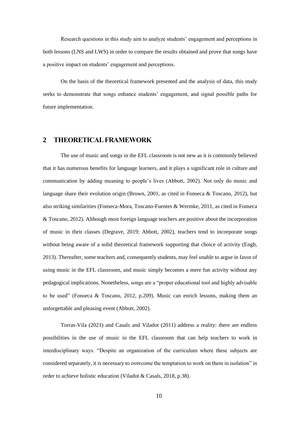Research questions in this study aim to analyze students' engagement and perceptions in both lessons (LNS and LWS) in order to compare the results obtained and prove that songs have a positive impact on students' engagement and perceptions.

On the basis of the theoretical framework presented and the analysis of data, this study seeks to demonstrate that songs enhance students' engagement, and signal possible paths for future implementation.

# <span id="page-9-0"></span>**2 THEORETICAL FRAMEWORK**

The use of music and songs in the EFL classroom is not new as it is commonly believed that it has numerous benefits for language learners, and it plays a significant role in culture and communication by adding meaning to people's lives (Abbott, 2002). Not only do music and language share their evolution origin (Brown, 2001, as cited in Fonseca & Toscano, 2012), but also striking similarities (Fonseca-Mora, Toscano-Fuentes & Wermke, 2011, as cited in Fonseca & Toscano, 2012). Although most foreign language teachers are positive about the incorporation of music in their classes (Degrave, 2019; Abbott, 2002), teachers tend to incorporate songs without being aware of a solid theoretical framework supporting that choice of activity (Engh, 2013). Thereafter, some teachers and, consequently students, may feel unable to argue in favor of using music in the EFL classroom, and music simply becomes a mere fun activity without any pedagogical implications. Nonetheless, songs are a "proper educational tool and highly advisable to be used" (Fonseca & Toscano, 2012, p.209). Music can enrich lessons, making them an unforgettable and pleasing event (Abbott, 2002).

Torras-Vila (2021) and Casals and Viladot (2011) address a reality: there are endless possibilities in the use of music in the EFL classroom that can help teachers to work in interdisciplinary ways. "Despite an organization of the curriculum where these subjects are considered separately, it is necessary to overcome the temptation to work on them in isolation" in order to achieve holistic education (Viladot & Casals, 2018, p.38).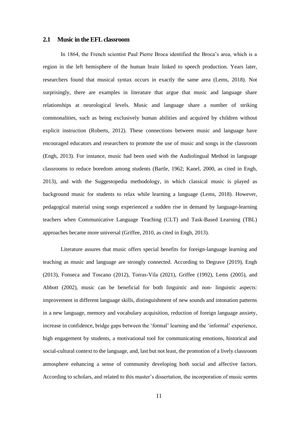#### <span id="page-10-0"></span>**2.1 Music in the EFL classroom**

In 1864, the French scientist Paul Pierre Broca identified the Broca's area, which is a region in the left hemisphere of the human brain linked to speech production. Years later, researchers found that musical syntax occurs in exactly the same area (Lems, 2018). Not surprisingly, there are examples in literature that argue that music and language share relationships at neurological levels. Music and language share a number of striking commonalities, such as being exclusively human abilities and acquired by children without explicit instruction (Roberts, 2012). These connections between music and language have encouraged educators and researchers to promote the use of music and songs in the classroom (Engh, 2013). For instance, music had been used with the Audiolingual Method in language classrooms to reduce boredom among students (Bartle, 1962; Kanel, 2000, as cited in Engh, 2013), and with the Suggestopedia methodology, in which classical music is played as background music for students to relax while learning a language (Lems, 2018). However, pedagogical material using songs experienced a sudden rise in demand by language-learning teachers when Communicative Language Teaching (CLT) and Task-Based Learning (TBL) approaches became more universal (Griffee, 2010, as cited in Engh, 2013).

Literature assures that music offers special benefits for foreign-language learning and teaching as music and language are strongly connected. According to Degrave (2019), Engh (2013), Fonseca and Toscano (2012), Torras-Vila (2021), Griffee (1992), Lems (2005), and Abbott (2002), music can be beneficial for both linguistic and non- linguistic aspects: improvement in different language skills, distinguishment of new sounds and intonation patterns in a new language, memory and vocabulary acquisition, reduction of foreign language anxiety, increase in confidence, bridge gaps between the 'formal' learning and the 'informal' experience, high engagement by students, a motivational tool for communicating emotions, historical and social-cultural context to the language, and, last but not least, the promotion of a lively classroom atmosphere enhancing a sense of community developing both social and affective factors. According to scholars, and related to this master's dissertation, the incorporation of music seems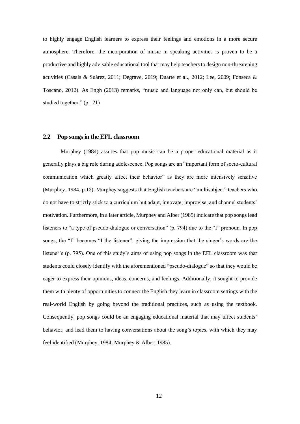to highly engage English learners to express their feelings and emotions in a more secure atmosphere. Therefore, the incorporation of music in speaking activities is proven to be a productive and highly advisable educational tool that may help teachers to design non-threatening activities (Casals & Suárez, 2011; Degrave, 2019; Duarte et al., 2012; Lee, 2009; Fonseca & Toscano, 2012). As Engh (2013) remarks, "music and language not only can, but should be studied together." (p.121)

#### <span id="page-11-0"></span>**2.2 Pop songs in the EFL classroom**

Murphey (1984) assures that pop music can be a proper educational material as it generally plays a big role during adolescence. Pop songs are an "important form of socio-cultural communication which greatly affect their behavior" as they are more intensively sensitive (Murphey, 1984, p.18). Murphey suggests that English teachers are "multisubject" teachers who do not have to strictly stick to a curriculum but adapt, innovate, improvise, and channel students' motivation. Furthermore, in a later article, Murphey and Alber (1985) indicate that pop songs lead listeners to "a type of pseudo-dialogue or conversation" (p. 794) due to the "I" pronoun. In pop songs, the "I" becomes "I the listener", giving the impression that the singer's words are the listener's (p. 795). One of this study's aims of using pop songs in the EFL classroom was that students could closely identify with the aforementioned "pseudo-dialogue" so that they would be eager to express their opinions, ideas, concerns, and feelings. Additionally, it sought to provide them with plenty of opportunities to connect the English they learn in classroom settings with the real-world English by going beyond the traditional practices, such as using the textbook. Consequently, pop songs could be an engaging educational material that may affect students' behavior, and lead them to having conversations about the song's topics, with which they may feel identified (Murphey, 1984; Murphey & Alber, 1985).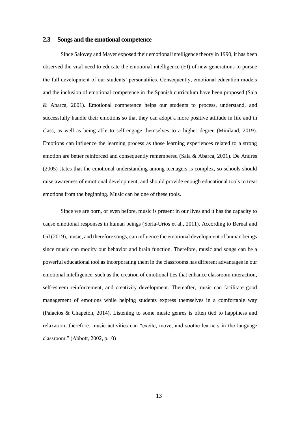#### <span id="page-12-0"></span>**2.3 Songs and the emotional competence**

Since Salovey and Mayer exposed their emotional intelligence theory in 1990, it has been observed the vital need to educate the emotional intelligence (EI) of new generations to pursue the full development of our students' personalities. Consequently, emotional education models and the inclusion of emotional competence in the Spanish curriculum have been proposed (Sala & Abarca, 2001). Emotional competence helps our students to process, understand, and successfully handle their emotions so that they can adopt a more positive attitude in life and in class, as well as being able to self-engage themselves to a higher degree (Miniland, 2019). Emotions can influence the learning process as those learning experiences related to a strong emotion are better reinforced and consequently remembered (Sala & Abarca, 2001). De Andrés (2005) states that the emotional understanding among teenagers is complex, so schools should raise awareness of emotional development, and should provide enough educational tools to treat emotions from the beginning. Music can be one of these tools.

Since we are born, or even before, music is present in our lives and it has the capacity to cause emotional responses in human beings (Soria-Urios et al., 2011). According to Bernal and Gil (2019), music, and therefore songs, can influence the emotional development of human beings since music can modify our behavior and brain function. Therefore, music and songs can be a powerful educational tool as incorporating them in the classrooms has different advantages in our emotional intelligence, such as the creation of emotional ties that enhance classroom interaction, self-esteem reinforcement, and creativity development. Thereafter, music can facilitate good management of emotions while helping students express themselves in a comfortable way (Palacios & Chapetón, 2014). Listening to some music genres is often tied to happiness and relaxation; therefore, music activities can "excite, move, and soothe learners in the language classroom." (Abbott, 2002, p.10)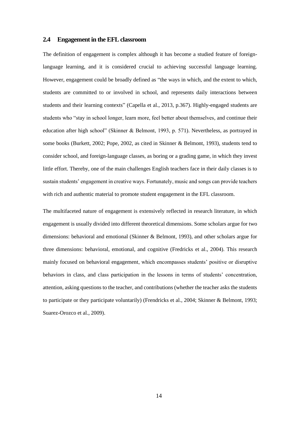#### <span id="page-13-0"></span>**2.4 Engagement in the EFL classroom**

The definition of engagement is complex although it has become a studied feature of foreignlanguage learning, and it is considered crucial to achieving successful language learning. However, engagement could be broadly defined as "the ways in which, and the extent to which, students are committed to or involved in school, and represents daily interactions between students and their learning contexts" (Capella et al., 2013, p.367). Highly-engaged students are students who "stay in school longer, learn more, feel better about themselves, and continue their education after high school" (Skinner & Belmont, 1993, p. 571). Nevertheless, as portrayed in some books (Burkett, 2002; Pope, 2002, as cited in Skinner & Belmont, 1993), students tend to consider school, and foreign-language classes, as boring or a grading game, in which they invest little effort. Thereby, one of the main challenges English teachers face in their daily classes is to sustain students' engagement in creative ways. Fortunately, music and songs can provide teachers with rich and authentic material to promote student engagement in the EFL classroom.

The multifaceted nature of engagement is extensively reflected in research literature, in which engagement is usually divided into different theoretical dimensions. Some scholars argue for two dimensions: behavioral and emotional (Skinner & Belmont, 1993), and other scholars argue for three dimensions: behavioral, emotional, and cognitive (Fredricks et al., 2004). This research mainly focused on behavioral engagement, which encompasses students' positive or disruptive behaviors in class, and class participation in the lessons in terms of students' concentration, attention, asking questions to the teacher, and contributions (whether the teacher asks the students to participate or they participate voluntarily) (Frendricks et al., 2004; Skinner & Belmont, 1993; Suarez-Orozco et al., 2009).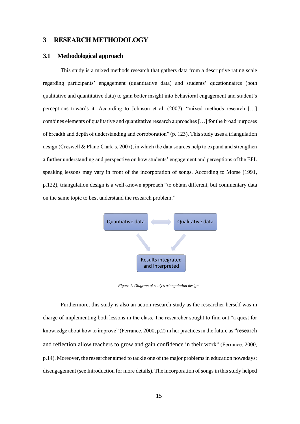# <span id="page-14-0"></span>**3 RESEARCH METHODOLOGY**

#### <span id="page-14-1"></span>**3.1 Methodological approach**

This study is a mixed methods research that gathers data from a descriptive rating scale regarding participants' engagement (quantitative data) and students' questionnaires (both qualitative and quantitative data) to gain better insight into behavioral engagement and student's perceptions towards it. According to Johnson et al. (2007), "mixed methods research […] combines elements of qualitative and quantitative research approaches […] for the broad purposes of breadth and depth of understanding and corroboration" (p. 123). This study uses a triangulation design (Creswell & Plano Clark's, 2007), in which the data sources help to expand and strengthen a further understanding and perspective on how students' engagement and perceptions of the EFL speaking lessons may vary in front of the incorporation of songs. According to Morse (1991, p.122), triangulation design is a well-known approach "to obtain different, but commentary data on the same topic to best understand the research problem."



*Figure 1. Diagram of study's triangulation design.*

<span id="page-14-2"></span>Furthermore, this study is also an action research study as the researcher herself was in charge of implementing both lessons in the class. The researcher sought to find out "a quest for knowledge about how to improve" (Ferrance, 2000, p.2) in her practices in the future as "research and reflection allow teachers to grow and gain confidence in their work" (Ferrance, 2000, p.14). Moreover, the researcher aimed to tackle one of the major problems in education nowadays: disengagement (see Introduction for more details). The incorporation of songs in this study helped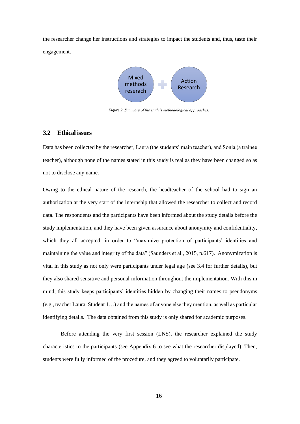the researcher change her instructions and strategies to impact the students and, thus, taste their engagement.



*Figure 2. Summary of the study's methodological approaches.*

#### <span id="page-15-1"></span><span id="page-15-0"></span>**3.2 Ethical issues**

Data has been collected by the researcher, Laura (the students' main teacher), and Sonia (a trainee teacher), although none of the names stated in this study is real as they have been changed so as not to disclose any name.

Owing to the ethical nature of the research, the headteacher of the school had to sign an authorization at the very start of the internship that allowed the researcher to collect and record data. The respondents and the participants have been informed about the study details before the study implementation, and they have been given assurance about anonymity and confidentiality, which they all accepted, in order to "maximize protection of participants' identities and maintaining the value and integrity of the data" (Saunders et al., 2015, p.617). Anonymization is vital in this study as not only were participants under legal age (see 3.4 for further details), but they also shared sensitive and personal information throughout the implementation. With this in mind, this study keeps participants' identities hidden by changing their names to pseudonyms (e.g., teacher Laura, Student 1…) and the names of anyone else they mention, as well as particular identifying details. The data obtained from this study is only shared for academic purposes.

Before attending the very first session (LNS), the researcher explained the study characteristics to the participants (see Appendix 6 to see what the researcher displayed). Then, students were fully informed of the procedure, and they agreed to voluntarily participate.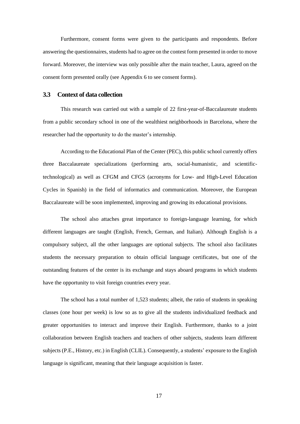Furthermore, consent forms were given to the participants and respondents. Before answering the questionnaires, students had to agree on the contest form presented in order to move forward. Moreover, the interview was only possible after the main teacher, Laura, agreed on the consent form presented orally (see Appendix 6 to see consent forms).

#### <span id="page-16-0"></span>**3.3 Context of data collection**

This research was carried out with a sample of 22 first-year-of-Baccalaureate students from a public secondary school in one of the wealthiest neighborhoods in Barcelona, where the researcher had the opportunity to do the master's internship.

According to the Educational Plan of the Center (PEC), this public school currently offers three Baccalaureate specializations (performing arts, social-humanistic, and scientifictechnological) as well as CFGM and CFGS (acronyms for Low- and High-Level Education Cycles in Spanish) in the field of informatics and communication. Moreover, the European Baccalaureate will be soon implemented, improving and growing its educational provisions.

The school also attaches great importance to foreign-language learning, for which different languages are taught (English, French, German, and Italian). Although English is a compulsory subject, all the other languages are optional subjects. The school also facilitates students the necessary preparation to obtain official language certificates, but one of the outstanding features of the center is its exchange and stays aboard programs in which students have the opportunity to visit foreign countries every year.

The school has a total number of 1,523 students; albeit, the ratio of students in speaking classes (one hour per week) is low so as to give all the students individualized feedback and greater opportunities to interact and improve their English. Furthermore, thanks to a joint collaboration between English teachers and teachers of other subjects, students learn different subjects (P.E., History, etc.) in English (CLIL). Consequently, a students' exposure to the English language is significant, meaning that their language acquisition is faster.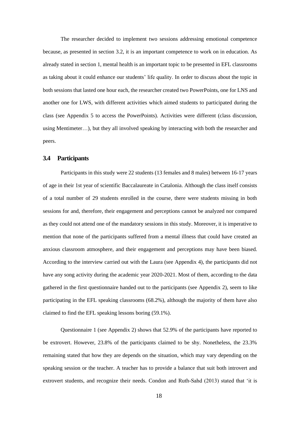The researcher decided to implement two sessions addressing emotional competence because, as presented in section 3.2, it is an important competence to work on in education. As already stated in section 1, mental health is an important topic to be presented in EFL classrooms as taking about it could enhance our students' life quality. In order to discuss about the topic in both sessions that lasted one hour each, the researcher created two PowerPoints, one for LNS and another one for LWS, with different activities which aimed students to participated during the class (see Appendix 5 to access the PowerPoints). Activities were different (class discussion, using Mentimeter…), but they all involved speaking by interacting with both the researcher and peers.

#### <span id="page-17-0"></span>**3.4 Participants**

Participants in this study were 22 students (13 females and 8 males) between 16-17 years of age in their 1st year of scientific Baccalaureate in Catalonia. Although the class itself consists of a total number of 29 students enrolled in the course, there were students missing in both sessions for and, therefore, their engagement and perceptions cannot be analyzed nor compared as they could not attend one of the mandatory sessions in this study. Moreover, it is imperative to mention that none of the participants suffered from a mental illness that could have created an anxious classroom atmosphere, and their engagement and perceptions may have been biased. According to the interview carried out with the Laura (see Appendix 4), the participants did not have any song activity during the academic year 2020-2021. Most of them, according to the data gathered in the first questionnaire handed out to the participants (see Appendix 2), seem to like participating in the EFL speaking classrooms (68.2%), although the majority of them have also claimed to find the EFL speaking lessons boring (59.1%).

Questionnaire 1 (see Appendix 2) shows that 52.9% of the participants have reported to be extrovert. However, 23.8% of the participants claimed to be shy. Nonetheless, the 23.3% remaining stated that how they are depends on the situation, which may vary depending on the speaking session or the teacher. A teacher has to provide a balance that suit both introvert and extrovert students, and recognize their needs. Condon and Ruth-Sahd (2013) stated that 'it is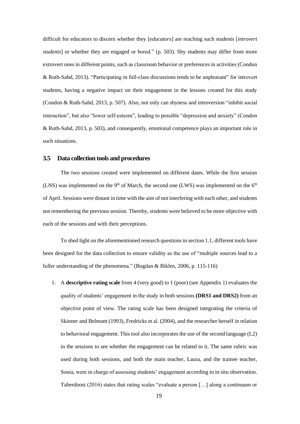difficult for educators to discern whether they [*educators*] are reaching such students [*introvert students*] or whether they are engaged or bored." (p. 503). Shy students may differ from more extrovert ones in different points, such as classroom behavior or preferences in activities (Condon & Ruth-Sahd, 2013). "Participating in full-class discussions tends to be unpleasant" for introvert students, having a negative impact on their engagement in the lessons created for this study (Condon & Ruth-Sahd, 2013, p. 507). Also, not only can shyness and introversion "inhibit social interaction", but also "lower self-esteem", leading to possible "depression and anxiety" (Condon & Ruth-Sahd, 2013, p. 503), and consequently, emotional competence plays an important role in such situations.

#### <span id="page-18-0"></span>**3.5 Data collection tools and procedures**

The two sessions created were implemented on different dates. While the first session (LNS) was implemented on the 9<sup>th</sup> of March, the second one (LWS) was implemented on the 6<sup>th</sup> of April. Sessions were distant in time with the aim of not interfering with each other, and students not remembering the previous session. Thereby, students were believed to be more objective with each of the sessions and with their perceptions.

To shed light on the aforementioned research questions in section 1.1, different tools have been designed for the data collection to ensure validity as the use of "multiple sources lead to a fuller understanding of the phenomena." (Bogdan & Biklen, 2006, p. 115-116)

1. A **descriptive rating scale** from 4 (very good) to 1 (poor) (see Appendix 1) evaluates the quality of students' engagement in the study in both sessions **(DRS1 and DRS2)** from an objective point of view. The rating scale has been designed integrating the criteria of Skinner and Belmont (1993), Fredricks et al. (2004), and the researcher herself in relation to behavioral engagement. This tool also incorporates the use of the second language (L2) in the sessions to see whether the engagement can be related to it. The same rubric was used during both sessions, and both the main teacher, Laura, and the trainee teacher, Sonia, were in charge of assessing students' engagement according to in situ observation. Taherdoost (2016) states that rating scales "evaluate a person […] along a continuum or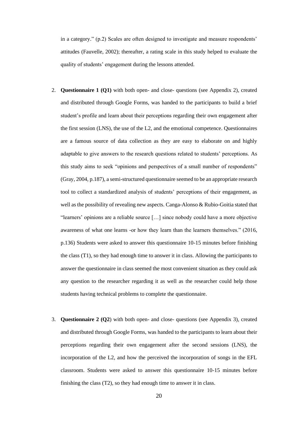in a category." (p.2) Scales are often designed to investigate and measure respondents' attitudes (Fauvelle, 2002); thereafter, a rating scale in this study helped to evaluate the quality of students' engagement during the lessons attended.

- 2. **Questionnaire 1 (Q1)** with both open- and close- questions (see Appendix 2), created and distributed through Google Forms, was handed to the participants to build a brief student's profile and learn about their perceptions regarding their own engagement after the first session (LNS), the use of the L2, and the emotional competence. Questionnaires are a famous source of data collection as they are easy to elaborate on and highly adaptable to give answers to the research questions related to students' perceptions. As this study aims to seek "opinions and perspectives of a small number of respondents" (Gray, 2004, p.187), a semi-structured questionnaire seemed to be an appropriate research tool to collect a standardized analysis of students' perceptions of their engagement, as well as the possibility of revealing new aspects. Canga-Alonso & Rubio-Goitia stated that "learners' opinions are a reliable source […] since nobody could have a more objective awareness of what one learns -or how they learn than the learners themselves." (2016, p.136) Students were asked to answer this questionnaire 10-15 minutes before finishing the class (T1), so they had enough time to answer it in class. Allowing the participants to answer the questionnaire in class seemed the most convenient situation as they could ask any question to the researcher regarding it as well as the researcher could help those students having technical problems to complete the questionnaire.
- 3. **Questionnaire 2 (Q2**) with both open- and close- questions (see Appendix 3), created and distributed through Google Forms, was handed to the participants to learn about their perceptions regarding their own engagement after the second sessions (LNS), the incorporation of the L2, and how the perceived the incorporation of songs in the EFL classroom. Students were asked to answer this questionnaire 10-15 minutes before finishing the class (T2), so they had enough time to answer it in class.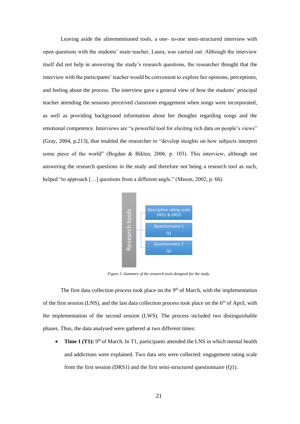Leaving aside the aforementioned tools, a one- to-one semi-structured interview with open questions with the students' main teacher, Laura, was carried out. Although the interview itself did not help in answering the study's research questions, the researcher thought that the interview with the participants' teacher would be convenient to explore her opinions, perceptions, and feeling about the process. The interview gave a general view of how the students' principal teacher attending the sessions perceived classroom engagement when songs were incorporated, as well as providing background information about her thoughts regarding songs and the emotional competence. Interviews are "a powerful tool for eliciting rich data on people's views" (Gray, 2004, p.213), that enabled the researcher to "develop insights on how subjects interpret some piece of the world" (Bogdan & Biklen, 2006, p. 103). This interview, although not answering the research questions in the study and therefore not being a research tool as such, helped "to approach [...] questions from a different angle." (Mason, 2002, p. 66)



*Figure 3. Summary of the research tools designed for the study.*

<span id="page-20-0"></span>The first data collection process took place on the 9<sup>th</sup> of March, with the implementation of the first session (LNS), and the last data collection process took place on the  $6<sup>th</sup>$  of April, with the implementation of the second session (LWS). The process included two distinguishable phases. Thus, the data analysed were gathered at two different times: **From the first session (DNS1)** and the first semi-structured questionnaire 1<br>
The first data collection process took place on the 9<sup>th</sup> of March, with the implem<br>
tession (LNS), and the last data collection process took

• **Time 1 (T1):** 9<sup>th</sup> of March. In T1, participants attended the LNS in which mental health and addictions were explained. Two data sets were collected: engagement rating scale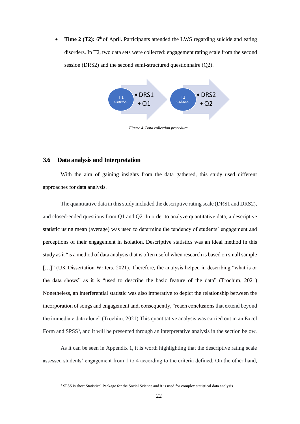• Time 2 (T2): 6<sup>th</sup> of April. Participants attended the LWS regarding suicide and eating disorders. In T2, two data sets were collected: engagement rating scale from the second session (DRS2) and the second semi-structured questionnaire (Q2).



*Figure 4. Data collection procedure.*

#### <span id="page-21-1"></span><span id="page-21-0"></span>**3.6 Data analysis and Interpretation**

With the aim of gaining insights from the data gathered, this study used different approaches for data analysis.

The quantitative data in this study included the descriptive rating scale (DRS1 and DRS2), and closed-ended questions from Q1 and Q2. In order to analyze quantitative data, a descriptive statistic using mean (average) was used to determine the tendency of students' engagement and perceptions of their engagement in isolation. Descriptive statistics was an ideal method in this study as it "is a method of data analysis that is often useful when research is based on small sample [...]" (UK Dissertation Writers, 2021). Therefore, the analysis helped in describing "what is or the data shows" as it is "used to describe the basic feature of the data" (Trochim, 2021) Nonetheless, an interferential statistic was also imperative to depict the relationship between the incorporation of songs and engagement and, consequently, "reach conclusions that extend beyond the immediate data alone" (Trochim, 2021) This quantitative analysis was carried out in an Excel Form and SPSS<sup>3</sup>, and it will be presented through an interpretative analysis in the section below.

As it can be seen in Appendix 1, it is worth highlighting that the descriptive rating scale assessed students' engagement from 1 to 4 according to the criteria defined. On the other hand,

<sup>&</sup>lt;sup>3</sup> SPSS is short Statistical Package for the Social Science and it is used for complex statistical data analysis.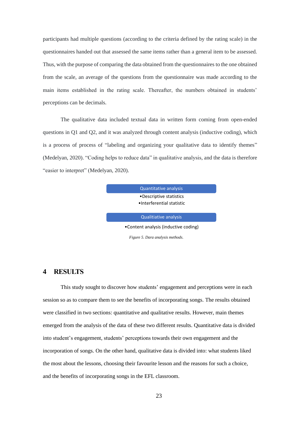participants had multiple questions (according to the criteria defined by the rating scale) in the questionnaires handed out that assessed the same items rather than a general item to be assessed. Thus, with the purpose of comparing the data obtained from the questionnaires to the one obtained from the scale, an average of the questions from the questionnaire was made according to the main items established in the rating scale. Thereafter, the numbers obtained in students' perceptions can be decimals.

The qualitative data included textual data in written form coming from open-ended questions in Q1 and Q2, and it was analyzed through content analysis (inductive coding), which is a process of process of "labeling and organizing your qualitative data to identify themes" (Medelyan, 2020). "Coding helps to reduce data" in qualitative analysis, and the data is therefore "easier to interpret" (Medelyan, 2020).

> Quantitative analysis •Descriptive statistics •Interferential statistic

Qualitiative analysis

•Content analysis (inductive coding)

<span id="page-22-1"></span> *Figure 5. Dara analysis methods.* 

#### <span id="page-22-0"></span>**4 RESULTS**

This study sought to discover how students' engagement and perceptions were in each session so as to compare them to see the benefits of incorporating songs. The results obtained were classified in two sections: quantitative and qualitative results. However, main themes emerged from the analysis of the data of these two different results. Quantitative data is divided into student's engagement, students' perceptions towards their own engagement and the incorporation of songs. On the other hand, qualitative data is divided into: what students liked the most about the lessons, choosing their favourite lesson and the reasons for such a choice, and the benefits of incorporating songs in the EFL classroom.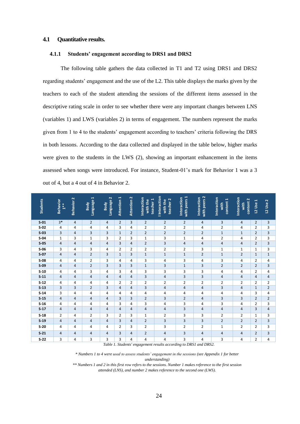#### <span id="page-23-0"></span>**4.1 Quantitative results.**

#### <span id="page-23-1"></span>**4.1.1 Students' engagement according to DRS1 and DRS2**

The following table gathers the data collected in T1 and T2 using DRS1 and DRS2 regarding students' engagement and the use of the L2. This table displays the marks given by the teachers to each of the student attending the sessions of the different items assessed in the descriptive rating scale in order to see whether there were any important changes between LNS (variables 1) and LWS (variables 2) in terms of engagement. The numbers represent the marks given from 1 to 4 to the students' engagement according to teachers' criteria following the DRS in both lessons. According to the data collected and displayed in the table below, higher marks were given to the students in the LWS (2), showing an important enhancement in the items assessed when songs were introduced. For instance, Student-01's mark for Behavior 1 was a 3 out of 4, but a 4 out of 4 in Behavior 2.

| <b>Students</b> | <b>Behavior</b><br>$1***$ | Behavior 2     | Language 1<br>Body | Language 2<br>Body | ı<br>Attention | Attention 2    | Interaction<br>teacher 1<br>with the | <b>I</b> Interaction<br>teacher <sub>2</sub><br>with the | with peers 1<br>Interaction | with peers 2<br>Interaction | Interaction<br>content <sub>1</sub><br>with | Interaction<br>content 2<br>with | L2 Use 1       | L2 Use 2       |
|-----------------|---------------------------|----------------|--------------------|--------------------|----------------|----------------|--------------------------------------|----------------------------------------------------------|-----------------------------|-----------------------------|---------------------------------------------|----------------------------------|----------------|----------------|
| S <sub>01</sub> | $3*$                      | $\overline{4}$ | 2                  | 4                  | $\overline{2}$ | 3              | $\overline{2}$                       | $\overline{2}$                                           | $\overline{2}$              | $\overline{4}$              | 3                                           | $\overline{4}$                   | $\overline{2}$ | 3              |
| $S-02$          | 4                         | 4              | 4                  | 4                  | 3              | 4              | $\overline{2}$                       | $\overline{2}$                                           | $\overline{2}$              | 4                           | $\overline{2}$                              | 4                                | $\overline{2}$ | 3              |
| $S-03$          | 3                         | 4              | 3                  | 3                  | $\mathbf{1}$   | 2              | $\overline{2}$                       | $\overline{2}$                                           | $\overline{2}$              | $\overline{2}$              | $\mathbf 1$                                 | $1\,$                            | 2              | 3              |
| $S-04$          | $\mathbf{1}$              | 3              | 1                  | 3                  | 2              | 3              | 1                                    | 3                                                        | $\mathbf{1}$                | 4                           | $\overline{2}$                              | 4                                | 2              | 3              |
| S <sub>05</sub> | $\overline{4}$            | 4              | 4                  | 4                  | 3              | 4              | $\overline{2}$                       | 3                                                        | $\overline{4}$              | $\overline{4}$              | $\overline{4}$                              | $\overline{4}$                   | $\overline{2}$ | 3              |
| $S-06$          | 3                         | 4              | 3                  | 4                  | $\overline{2}$ | $\overline{2}$ | $\overline{2}$                       | $\overline{2}$                                           | $\overline{2}$              | 3                           | 1                                           | 1                                | 1              | 3              |
| $S-07$          | $\overline{4}$            | 4              | $\overline{2}$     | 3                  | $\mathbf{1}$   | 3              | $1\,$                                | $1\,$                                                    | $\mathbf{1}$                | $\overline{2}$              | $\mathbf{1}$                                | $\overline{2}$                   | $\mathbf{1}$   | $\mathbf 1$    |
| $S-08$          | 4                         | 4              | $\overline{2}$     | 3                  | 4              | 4              | 3                                    | 4                                                        | 3                           | 4                           | 3                                           | 4                                | 2              | 4              |
| $S-09$          | 4                         | 4              | $\overline{2}$     | 3                  | 3              | 3              | $\mathbf 1$                          | 3                                                        | $\mathbf 1$                 | 3                           | $\overline{2}$                              | $\overline{2}$                   | $\overline{2}$ | 3              |
| $S-10$          | 4                         | 4              | 3                  | 4                  | 3              | 4              | 3                                    | 3                                                        | 3                           | 3                           | 4                                           | 4                                | 2              | 4              |
| $S-11$          | $\overline{4}$            | 4              | 4                  | 4                  | 4              | 4              | 3                                    | $\overline{4}$                                           | 3                           | 3                           | $\overline{4}$                              | $\overline{4}$                   | 4              | 4              |
| $S-12$          | 4                         | 4              | 4                  | 4                  | 2              | 2              | $\overline{2}$                       | $\overline{2}$                                           | $\overline{2}$              | $\overline{2}$              | $\overline{2}$                              | $\overline{2}$                   | 2              | $\overline{2}$ |
| $S-13$          | 3                         | 3              | $\overline{2}$     | 3                  | 4              | 4              | 3                                    | 4                                                        | $\overline{\mathbf{4}}$     | 4                           | 3                                           | 4                                | $\mathbf{1}$   | $\overline{2}$ |
| $S-14$          | 3                         | 4              | 4                  | 4                  | 4              | 4              | 4                                    | 4                                                        | 4                           | 4                           | 4                                           | 4                                | 3              | 4              |
| $S-15$          | $\overline{4}$            | 4              | 4                  | 4                  | 3              | 3              | $\overline{2}$                       | 3                                                        | $\overline{2}$              | $\overline{4}$              | $\overline{3}$                              | 3                                | $\overline{2}$ | $\overline{2}$ |
| $S-16$          | 4                         | 4              | 4                  | 4                  | 3              | 4              | 3                                    | 4                                                        | 3                           | 4                           | 3                                           | 4                                | 2              | 3              |
| $S-17$          | $\overline{4}$            | $\overline{4}$ | 4                  | 4                  | 4              | 4              | 4                                    | 4                                                        | 3                           | $\overline{4}$              | $\overline{4}$                              | $\overline{4}$                   | 3              | 4              |
| $S-18$          | $\overline{2}$            | 4              | 2                  | 3                  | 2              | 3              | 1                                    | $\overline{2}$                                           | 3                           | 3                           | $\overline{2}$                              | $\overline{2}$                   | 1              | 3              |
| $S-19$          | $\overline{4}$            | 4              | 4                  | 4                  | 3              | 4              | $\overline{2}$                       | 3                                                        | 3                           | $\overline{3}$              | $\overline{2}$                              | $\overline{2}$                   | $\overline{2}$ | 3              |
| $S-20$          | 4                         | 4              | 4                  | 4                  | $\overline{2}$ | 3              | $\overline{2}$                       | 3                                                        | $\overline{2}$              | $\overline{2}$              | 1                                           | $\overline{2}$                   | $\overline{2}$ | 3              |
| $S-21$          | 4                         | $\overline{4}$ | 4                  | 4                  | 3              | 4              | $\overline{2}$                       | $\overline{4}$                                           | 3                           | $\overline{4}$              | $\overline{4}$                              | $\overline{4}$                   | $\overline{2}$ | 3              |
| $S-22$          | 3                         | 4              | 3                  | 3                  | 3              | 4              | 4                                    | 4                                                        | 3                           | 4                           | 3                                           | 4                                | $\overline{2}$ | 4              |

*Table 1. Students' engagement results according to DRS1 and DRS2.*

<span id="page-23-2"></span>*\* Numbers 1 to 4 were used to assess students' engagement in the sessions (see Appendix 1 for better understanding)*

*\*\* Numbers 1 and 2 in this first row refers to the sessions. Number 1 makes reference to the first session attended (LNS), and number 2 makes reference to the second one (LWS).*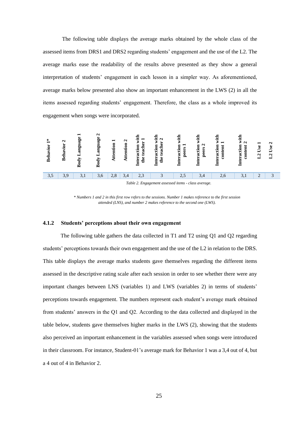The following table displays the average marks obtained by the whole class of the assessed items from DRS1 and DRS2 regarding students' engagement and the use of the L2. The average marks ease the readability of the results above presented as they show a general interpretation of students' engagement in each lesson in a simpler way. As aforementioned, average marks below presented also show an important enhancement in the LWS (2) in all the items assessed regarding students' engagement. Therefore, the class as a whole improved its engagement when songs were incorporated.



<span id="page-24-0"></span>*\* Numbers 1 and 2 in this first row refers to the sessions. Number 1 makes reference to the first session attended (LNS), and number 2 makes reference to the second one (LWS).*

#### **4.1.2 Students' perceptions about their own engagement**

The following table gathers the data collected in T1 and T2 using Q1 and Q2 regarding students' perceptions towards their own engagement and the use of the L2 in relation to the DRS. This table displays the average marks students gave themselves regarding the different items assessed in the descriptive rating scale after each session in order to see whether there were any important changes between LNS (variables 1) and LWS (variables 2) in terms of students' perceptions towards engagement. The numbers represent each student's average mark obtained from students' answers in the Q1 and Q2. According to the data collected and displayed in the table below, students gave themselves higher marks in the LWS (2), showing that the students also perceived an important enhancement in the variables assessed when songs were introduced in their classroom. For instance, Student-01's average mark for Behavior 1 was a 3,4 out of 4, but a <sup>1</sup> **i b 1 b i b e b i b e b i c b i c d i c d c d c d c d c d c d c d c d c d c d c d c d c d c d c d c d c d c**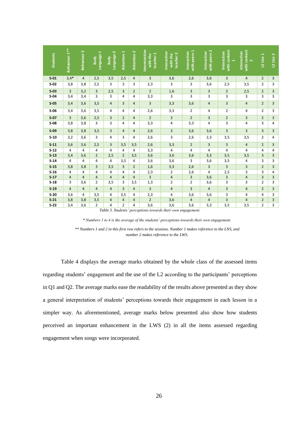<span id="page-25-0"></span>

| <b>Students</b>                              | Behaviour 1**                                                                                                                                                                                                                                                                                               | Behaviour <sub>2</sub> | Language 1<br>Body | Language 2<br>Body    | Attention 1         | Attention 2                      | Intentraction<br>teacher 1<br>with the | nteraction<br>teacher 2<br>with the | with peers 1<br>Interaction | with peers 2<br>Interaction | with content<br>Interaction | with content<br>Interaction<br>$\mathbf{\tilde{N}}$ | <b>L2 Use 1</b>     | L2 Use 2            |
|----------------------------------------------|-------------------------------------------------------------------------------------------------------------------------------------------------------------------------------------------------------------------------------------------------------------------------------------------------------------|------------------------|--------------------|-----------------------|---------------------|----------------------------------|----------------------------------------|-------------------------------------|-----------------------------|-----------------------------|-----------------------------|-----------------------------------------------------|---------------------|---------------------|
| S <sub>01</sub>                              | $3,4*$                                                                                                                                                                                                                                                                                                      | 4                      | 2,5                | 3,5                   | 2,5                 | 4                                | 3                                      | 3,6                                 | 2,6                         | 3,6                         | 3                           | $\overline{4}$                                      | $\overline{2}$      | 3                   |
| $S-02$                                       | 3,8                                                                                                                                                                                                                                                                                                         | 3,8                    | 2,5                | 3                     | 3                   | 3                                | 2,3                                    | 3                                   | 3                           | 3,6                         | 2,5                         | 3,5                                                 | $\overline{2}$      | 3                   |
| $S-03$                                       | 3                                                                                                                                                                                                                                                                                                           | 3,2                    | 3                  | 2,5                   | 3                   | $\overline{2}$                   | $\overline{2}$                         | 1,6                                 | 3                           | 3                           | $\overline{2}$              | 2,5                                                 | $\overline{2}$      | 3                   |
| $S-04$                                       | 3,4                                                                                                                                                                                                                                                                                                         | 3,4                    | 3                  | 3                     | 4                   | 4                                | 3,3                                    | 3                                   | 3                           | 3                           | 3                           | 3                                                   | 3                   | 3                   |
| $S-0.5$                                      | 3,4                                                                                                                                                                                                                                                                                                         | 3,6                    | 3,5                | $\overline{4}$        | 3                   | $\overline{4}$                   | 3                                      | 3,3                                 | 3,6                         | 4                           | 3                           | $\overline{4}$                                      | $\overline{2}$      | 3                   |
| $S-06$                                       | 3,4                                                                                                                                                                                                                                                                                                         | 3,6                    | 3,5                | 4                     | 4                   | 4                                | 2,6                                    | 3,3                                 | $\overline{2}$              | 4                           | $\overline{2}$              | 4                                                   | 2                   | 3                   |
| S <sub>07</sub>                              | 3<br>3,6<br>2,5<br>3<br>$\overline{4}$<br>$\overline{2}$<br>3<br>$\overline{2}$<br>3<br>$\overline{2}$<br>3<br>$\overline{2}$<br>$\overline{2}$<br>3<br>3<br>4<br>4<br>4<br>3<br>4<br>3                                                                                                                     |                        |                    |                       |                     |                                  |                                        |                                     |                             |                             |                             | 3                                                   |                     |                     |
| $S-08$<br>3,8<br>3,8<br>3,3<br>3,3<br>4<br>4 |                                                                                                                                                                                                                                                                                                             |                        |                    |                       |                     |                                  |                                        |                                     |                             |                             |                             |                                                     |                     |                     |
| $S-09$                                       | 3,8<br>3,8<br>3<br>$\overline{4}$<br>3<br>3<br>3<br>3<br>3<br>3,5<br>4<br>2,6<br>3,6<br>3,6                                                                                                                                                                                                                 |                        |                    |                       |                     |                                  |                                        |                                     |                             |                             |                             |                                                     |                     |                     |
| $S-10$                                       | 3,2                                                                                                                                                                                                                                                                                                         | 3,6                    | 3                  | 4                     | 3                   | 4                                | 2,6                                    | 3                                   | 2,6                         | 2,3                         | 3,5                         | 3,5                                                 | 2                   | 4                   |
| $S-11$                                       | 3,6                                                                                                                                                                                                                                                                                                         | 3,6                    | 2,5                | 3                     | 3,5                 | 3,5                              | 2,6                                    | 3,3                                 | $\overline{2}$              | $\overline{3}$              | 3                           | $\overline{4}$                                      | $\overline{2}$      | 3                   |
| $S-12$<br>$S-13$                             | 4<br>3,4                                                                                                                                                                                                                                                                                                    | 4<br>3,6               | 4<br>2             | $\overline{4}$<br>2,5 | 4<br>$\overline{2}$ | 4<br>3,5                         | 3,3<br>3,6                             | 4<br>3,6                            | 4<br>3,6                    | 4<br>3,3                    | 4<br>3,5                    | 4<br>3,5                                            | 4<br>3              | 4<br>3              |
| $S-14$                                       | 4                                                                                                                                                                                                                                                                                                           | 4                      | 4                  | 4                     | 3,5                 | 4                                | 3,6                                    | 3,6                                 | 3                           | 3,6                         | 3,5                         | 4                                                   | 3                   | 3                   |
| $S-15$                                       | 3,8                                                                                                                                                                                                                                                                                                         | 3,8                    | 3                  | 3,5                   | 3                   | $\overline{2}$                   | 1,6                                    | 3,3                                 | 2,6                         | 3                           | 3                           | 3                                                   | $\overline{2}$      | 3                   |
| $S-16$                                       | 4                                                                                                                                                                                                                                                                                                           | 4                      | 4                  | 4                     | 4                   | 4                                | 2,3                                    | $\overline{2}$                      | 2,6                         | 4                           | 2,5                         | 3                                                   | 3                   | 4                   |
| $S-17$                                       | $\overline{4}$                                                                                                                                                                                                                                                                                              | 4                      | 4                  | 4                     | 4                   | $\overline{4}$                   | 3                                      | 4                                   | 3                           | 3,6                         | 3                           | $\overline{4}$                                      | 3                   | 3                   |
| $S-18$                                       | 3                                                                                                                                                                                                                                                                                                           | 3,6                    | 2                  | 3,5                   | 3                   | 3,5                              | 1,3                                    | 2                                   | $\overline{2}$              | 3,6                         | 3                           | 3                                                   | 2                   | 3                   |
| $S-19$                                       | $\overline{4}$                                                                                                                                                                                                                                                                                              | 4                      | 4                  | 4                     | 3                   | 4                                | 3                                      | 4                                   | 3                           | 4                           | 3                           | 4                                                   | $\overline{2}$      | 3                   |
| $S-20$                                       | 3,6                                                                                                                                                                                                                                                                                                         | 4                      | 3,5                | 4                     | 3,5                 | 4                                | 2,3                                    | 4                                   | 3,6                         | 3,6                         | 3                           | 4                                                   | 4                   | 3                   |
| $S-21$<br>$S-22$                             | 3,8<br>3,4                                                                                                                                                                                                                                                                                                  | 3,8<br>3,6             | 3,5<br>2           | 4<br>4                | 4<br>$\overline{2}$ | $\overline{4}$<br>$\overline{4}$ | $\overline{2}$<br>3,6                  | 3,6<br>3,6                          | $\overline{4}$<br>3,6       | $\overline{4}$<br>3,3       | 3<br>3,5                    | 4<br>3,5                                            | $\overline{2}$<br>2 | $\overline{3}$<br>3 |
|                                              | Table 3. Students' perceptions towards their own engagement.<br>* Numbers 1 to 4 is the average of the students' perceptions towards their own engagement.<br>** Numbers 1 and 2 in this first row refers to the sessions. Number 1 makes reference to the LNS, and<br>number 2 makes reference to the LWS. |                        |                    |                       |                     |                                  |                                        |                                     |                             |                             |                             |                                                     |                     |                     |
|                                              | Table 4 displays the average marks obtained by the whole class of the assessed items<br>regarding students' engagement and the use of the L2 according to the participants' perceptions<br>in Q1 and Q2. The average marks ease the readability of the results above presented as they show                 |                        |                    |                       |                     |                                  |                                        |                                     |                             |                             |                             |                                                     |                     |                     |
|                                              | a general interpretation of students' perceptions towards their engagement in each lesson in a<br>simpler way. As aforementioned, average marks below presented also show how students<br>perceived an important enhancement in the LWS (2) in all the items assessed regarding                             |                        |                    |                       |                     |                                  |                                        |                                     |                             |                             |                             |                                                     |                     |                     |
| engagement when songs were incorporated.     |                                                                                                                                                                                                                                                                                                             |                        |                    |                       |                     |                                  |                                        |                                     |                             |                             |                             |                                                     |                     |                     |

<span id="page-25-1"></span>*<sup>\*</sup> Numbers 1 to 4 is the average of the students' perceptions towards their own engagement. \*\* Numbers 1 and 2 in this first row refers to the sessions. Number 1 makes reference to the LNS, and number 2 makes reference to the LWS.*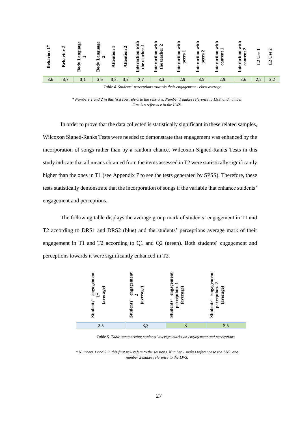

*Table 4. Students' perceptions towards their engagement - class average.*

<span id="page-26-0"></span>*\* Numbers 1 and 2 in this first row refers to the sessions. Number 1 makes reference to LNS, and number 2 makes reference to the LWS.*

In order to prove that the data collected is statistically significant in these related samples, Wilcoxon Signed-Ranks Tests were needed to demonstrate that engagement was enhanced by the incorporation of songs rather than by a random chance. Wilcoxon Signed-Ranks Tests in this study indicate that all means obtained from the items assessed in T2 were statistically significantly higher than the ones in T1 (see Appendix 7 to see the tests generated by SPSS). Therefore, these tests statistically demonstrate that the incorporation of songs if the variable that enhance students' engagement and perceptions.

The following table displays the average group mark of students' engagement in T1 and T2 according to DRS1 and DRS2 (blue) and the students' perceptions average mark of their engagement in T1 and T2 according to Q1 and Q2 (green). Both students' engagement and perceptions towards it were significantly enhanced in T2.



*Table 5. Table summarizing students' average marks on engagement and perceptions*

<span id="page-26-1"></span>*\* Numbers 1 and 2 in this first row refers to the sessions. Number 1 makes reference to the LNS, and number 2 makes reference to the LWS.*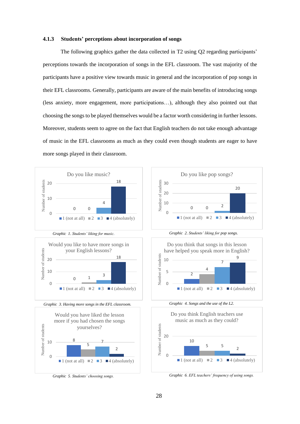#### <span id="page-27-0"></span>**4.1.3 Students' perceptions about incorporation of songs**

The following graphics gather the data collected in T2 using Q2 regarding participants' perceptions towards the incorporation of songs in the EFL classroom. The vast majority of the participants have a positive view towards music in general and the incorporation of pop songs in their EFL classrooms. Generally, participants are aware of the main benefits of introducing songs (less anxiety, more engagement, more participations…), although they also pointed out that choosing the songs to be played themselves would be a factor worth considering in further lessons. Moreover, students seem to agree on the fact that English teachers do not take enough advantage of music in the EFL classrooms as much as they could even though students are eager to have more songs played in their classroom.



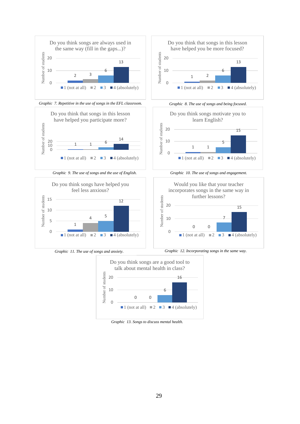



<span id="page-28-0"></span> *Graphic 13. Songs to discuss mental health.*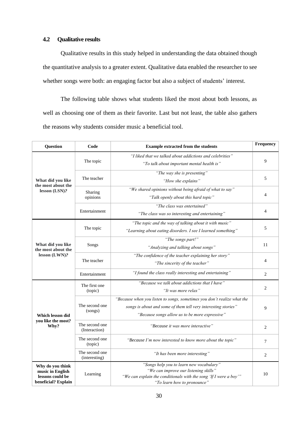### <span id="page-29-0"></span>**4.2 Qualitative results**

Qualitative results in this study helped in understanding the data obtained though the quantitative analysis to a greater extent. Qualitative data enabled the researcher to see whether songs were both: an engaging factor but also a subject of students' interest.

The following table shows what students liked the most about both lessons, as well as choosing one of them as their favorite. Last but not least, the table also gathers the reasons why students consider music a beneficial tool.

| Question                                                                        | Code                            | Frequency<br><b>Example extracted from the students</b>                                                                                                                                     |                |  |  |
|---------------------------------------------------------------------------------|---------------------------------|---------------------------------------------------------------------------------------------------------------------------------------------------------------------------------------------|----------------|--|--|
|                                                                                 | The topic                       | "I liked that we talked about addictions and celebrities"<br>"To talk about important mental health is"                                                                                     | 9              |  |  |
| What did you like<br>the most about the                                         | The teacher                     | "The way she is presenting"<br>"How she explains"                                                                                                                                           | 5              |  |  |
| lesson (LSN)?                                                                   | Sharing<br>opinions             | "We shared opinions without being afraid of what to say"<br>"Talk openly about this hard topic"                                                                                             | 4              |  |  |
|                                                                                 | Entertainment                   | "The class was entertained"<br>"The class was so interesting and entertaining"                                                                                                              | 4              |  |  |
|                                                                                 | The topic                       | "The topic and the way of talking about it with music"<br>"Learning about eating disorders. I see I learned something"                                                                      | 5              |  |  |
| What did you like<br>the most about the                                         | Songs                           | "The songs part!"<br>"Analyzing and talking about songs"                                                                                                                                    | 11             |  |  |
| lesson (LWN)?                                                                   | The teacher                     | "The confidence of the teacher explaining her story"<br>"The sincerity of the teacher"                                                                                                      |                |  |  |
|                                                                                 | Entertainment                   | "I found the class really interesting and entertaining"                                                                                                                                     | 2              |  |  |
|                                                                                 | The first one<br>(topic)        | "Because we talk about addictions that I have"<br>"It was more relax"                                                                                                                       | 2              |  |  |
| Which lesson did                                                                | The second one<br>(songs)       | "Because when you listen to songs, sometimes you don't realize what the<br>songs is about and some of them tell very interesting stories"<br>"Because songs allow us to be more expressive" | 9              |  |  |
| you like the most?<br>Why?                                                      | The second one<br>(Interaction) | "Because it was more interactive"                                                                                                                                                           | 2              |  |  |
|                                                                                 | The second one<br>(topic)       | "Because I'm now interested to know more about the topic"                                                                                                                                   | 7              |  |  |
|                                                                                 | The second one<br>(interesting) | "It has been more interesting"                                                                                                                                                              | $\overline{2}$ |  |  |
| Why do you think<br>music in English<br>lessons could be<br>beneficial? Explain | Learning                        | "Songs help you to learn new vocabulary"<br>"We can improve our listening skills"<br>"We can explain the conditionals with the song 'If I were a boy'"<br>"To learn how to pronounce"       | 10             |  |  |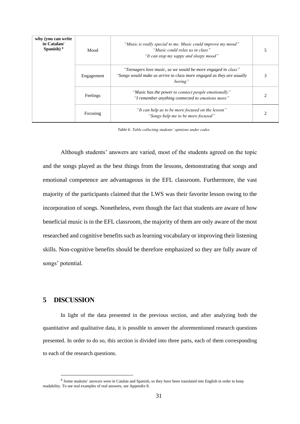| why (you can write<br>in Catalan/<br>Spanish $)$ <sup>4</sup> | Mood       | "Music is really special to me. Music could improve my mood"<br>"Music could relax us in class"<br>"It can stop my sappy and sleepy mood"        |  |
|---------------------------------------------------------------|------------|--------------------------------------------------------------------------------------------------------------------------------------------------|--|
|                                                               | Engagement | "Teenagers love music, so we would be more engaged in class"<br>"Songs would make us arrive to class more engaged as they are usually<br>boring" |  |
|                                                               | Feelings   | "Music has the power to connect people emotionally"<br>"I remember anything connected to emotions more"                                          |  |
|                                                               | Focusing   | "It can help us to be more focused on the lesson"<br>"Songs help me to be more focused"                                                          |  |

<span id="page-30-1"></span> *Table 6: Table collecting students' opinions under codes.*

Although students' answers are varied, most of the students agreed on the topic and the songs played as the best things from the lessons, demonstrating that songs and emotional competence are advantageous in the EFL classroom. Furthermore, the vast majority of the participants claimed that the LWS was their favorite lesson owing to the incorporation of songs. Nonetheless, even though the fact that students are aware of how beneficial music is in the EFL classroom, the majority of them are only aware of the most researched and cognitive benefits such as learning vocabulary or improving their listening skills. Non-cognitive benefits should be therefore emphasized so they are fully aware of songs' potential.

### <span id="page-30-0"></span>**5 DISCUSSION**

In light of the data presented in the previous section, and after analyzing both the quantitative and qualitative data, it is possible to answer the aforementioned research questions presented. In order to do so, this section is divided into three parts, each of them corresponding to each of the research questions.

<sup>&</sup>lt;sup>4</sup> Some students' answers were in Catalan and Spanish, so they have been translated into English in order to keep readability. To see real examples of real answers, see Appendix 8.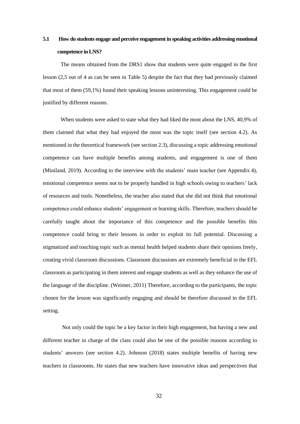# <span id="page-31-0"></span>**5.1 How do students engage and perceive engagement in speaking activities addressing emotional competence in LNS?**

The means obtained from the DRS1 show that students were quite engaged in the first lesson (2,5 out of 4 as can be seen in Table 5) despite the fact that they had previously claimed that most of them (59,1%) found their speaking lessons uninteresting. This engagement could be justified by different reasons.

When students were asked to state what they had liked the most about the LNS, 40,9% of them claimed that what they had enjoyed the most was the topic itself (see section 4.2). As mentioned in the theoretical framework (see section 2.3), discussing a topic addressing emotional competence can have multiple benefits among students, and engagement is one of them (Miniland, 2019). According to the interview with the students' main teacher (see Appendix 4), emotional competence seems not to be properly handled in high schools owing to teachers' lack of resources and tools. Nonetheless, the teacher also stated that she did not think that emotional competence could enhance students' engagement or learning skills. Therefore, teachers should be carefully taught about the importance of this competence and the possible benefits this competence could bring to their lessons in order to exploit its full potential. Discussing a stigmatized and touching topic such as mental health helped students share their opinions freely, creating vivid classroom discussions. Classroom discussions are extremely beneficial in the EFL classroom as participating in them interest and engage students as well as they enhance the use of the language of the discipline. (Weimer, 2011) Therefore, according to the participants, the topic chosen for the lesson was significantly engaging and should be therefore discussed in the EFL setting.

Not only could the topic be a key factor in their high engagement, but having a new and different teacher in charge of the class could also be one of the possible reasons according to students' answers (see section 4.2). Johnson (2018) states multiple benefits of having new teachers in classrooms. He states that new teachers have innovative ideas and perspectives that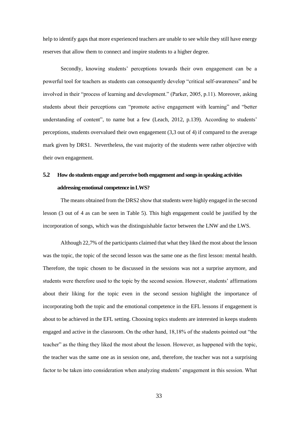help to identify gaps that more experienced teachers are unable to see while they still have energy reserves that allow them to connect and inspire students to a higher degree.

Secondly, knowing students' perceptions towards their own engagement can be a powerful tool for teachers as students can consequently develop "critical self-awareness" and be involved in their "process of learning and development." (Parker, 2005, p.11). Moreover, asking students about their perceptions can "promote active engagement with learning" and "better understanding of content", to name but a few (Leach, 2012, p.139). According to students' perceptions, students overvalued their own engagement (3,3 out of 4) if compared to the average mark given by DRS1. Nevertheless, the vast majority of the students were rather objective with their own engagement.

# <span id="page-32-0"></span>**5.2 How do students engage and perceive both engagement and songs in speaking activities addressing emotional competence in LWS?**

The means obtained from the DRS2 show that students were highly engaged in the second lesson (3 out of 4 as can be seen in Table 5). This high engagement could be justified by the incorporation of songs, which was the distinguishable factor between the LNW and the LWS.

Although 22,7% of the participants claimed that what they liked the most about the lesson was the topic, the topic of the second lesson was the same one as the first lesson: mental health. Therefore, the topic chosen to be discussed in the sessions was not a surprise anymore, and students were therefore used to the topic by the second session. However, students' affirmations about their liking for the topic even in the second session highlight the importance of incorporating both the topic and the emotional competence in the EFL lessons if engagement is about to be achieved in the EFL setting. Choosing topics students are interested in keeps students engaged and active in the classroom. On the other hand, 18,18% of the students pointed out "the teacher" as the thing they liked the most about the lesson. However, as happened with the topic, the teacher was the same one as in session one, and, therefore, the teacher was not a surprising factor to be taken into consideration when analyzing students' engagement in this session. What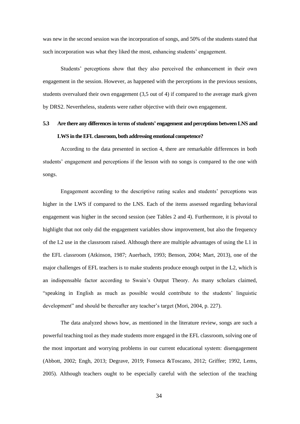was new in the second session was the incorporation of songs, and 50% of the students stated that such incorporation was what they liked the most, enhancing students' engagement.

Students' perceptions show that they also perceived the enhancement in their own engagement in the session. However, as happened with the perceptions in the previous sessions, students overvalued their own engagement (3,5 out of 4) if compared to the average mark given by DRS2. Nevertheless, students were rather objective with their own engagement.

# <span id="page-33-0"></span>**5.3 Are there any differencesin terms of students' engagement and perceptions between LNS and LWS in the EFL classroom, both addressing emotional competence?**

According to the data presented in section 4, there are remarkable differences in both students' engagement and perceptions if the lesson with no songs is compared to the one with songs.

Engagement according to the descriptive rating scales and students' perceptions was higher in the LWS if compared to the LNS. Each of the items assessed regarding behavioral engagement was higher in the second session (see Tables 2 and 4). Furthermore, it is pivotal to highlight that not only did the engagement variables show improvement, but also the frequency of the L2 use in the classroom raised. Although there are multiple advantages of using the L1 in the EFL classroom (Atkinson, 1987; Auerbach, 1993; Benson, 2004; Mart, 2013), one of the major challenges of EFL teachers is to make students produce enough output in the L2, which is an indispensable factor according to Swain's Output Theory. As many scholars claimed, "speaking in English as much as possible would contribute to the students' linguistic development" and should be thereafter any teacher's target (Mori, 2004, p. 227).

The data analyzed shows how, as mentioned in the literature review, songs are such a powerful teaching tool as they made students more engaged in the EFL classroom, solving one of the most important and worrying problems in our current educational system: disengagement (Abbott, 2002; Engh, 2013; Degrave, 2019; Fonseca &Toscano, 2012; Griffee; 1992, Lems, 2005). Although teachers ought to be especially careful with the selection of the teaching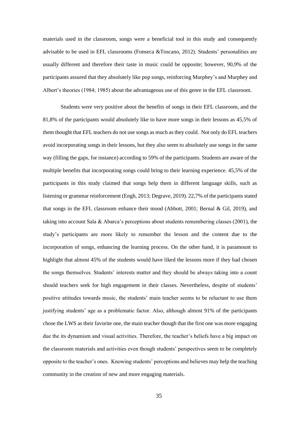materials used in the classroom, songs were a beneficial tool in this study and consequently advisable to be used in EFL classrooms (Fonseca &Toscano, 2012). Students' personalities are usually different and therefore their taste in music could be opposite; however, 90,9% of the participants assured that they absolutely like pop songs, reinforcing Murphey's and Murphey and Albert's theories (1984; 1985) about the advantageous use of this genre in the EFL classroom.

Students were very positive about the benefits of songs in their EFL classroom, and the 81,8% of the participants would absolutely like to have more songs in their lessons as 45,5% of them thought that EFL teachers do not use songs as much as they could. Not only do EFL teachers avoid incorporating songs in their lessons, but they also seem to absolutely use songs in the same way (filling the gaps, for instance) according to 59% of the participants. Students are aware of the multiple benefits that incorporating songs could bring to their learning experience. 45,5% of the participants in this study claimed that songs help them in different language skills, such as listening or grammar reinforcement (Engh, 2013; Degrave, 2019). 22,7% of the participants stated that songs in the EFL classroom enhance their mood (Abbott, 2001; Bernal & Gil, 2019), and taking into account Sala & Abarca's perceptions about students remembering classes (2001), the study's participants are more likely to remember the lesson and the content due to the incorporation of songs, enhancing the learning process. On the other hand, it is paramount to highlight that almost 45% of the students would have liked the lessons more if they had chosen the songs themselves. Students' interests matter and they should be always taking into a count should teachers seek for high engagement in their classes. Nevertheless, despite of students' positive attitudes towards music, the students' main teacher seems to be reluctant to use them justifying students' age as a problematic factor. Also, although almost 91% of the participants chose the LWS as their favorite one, the main teacher though that the first one was more engaging due the its dynamism and visual activities. Therefore, the teacher's beliefs have a big impact on the classroom materials and activities even though students' perspectives seem to be completely opposite to the teacher's ones. Knowing students' perceptions and believes may help the teaching community in the creation of new and more engaging materials.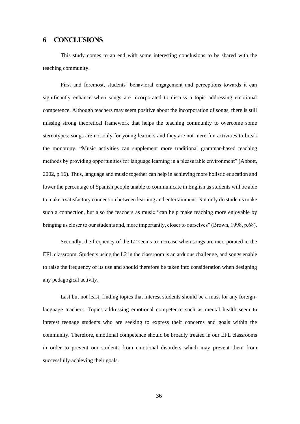#### <span id="page-35-0"></span>**6 CONCLUSIONS**

This study comes to an end with some interesting conclusions to be shared with the teaching community.

First and foremost, students' behavioral engagement and perceptions towards it can significantly enhance when songs are incorporated to discuss a topic addressing emotional competence. Although teachers may seem positive about the incorporation of songs, there is still missing strong theoretical framework that helps the teaching community to overcome some stereotypes: songs are not only for young learners and they are not mere fun activities to break the monotony. "Music activities can supplement more traditional grammar-based teaching methods by providing opportunities for language learning in a pleasurable environment" (Abbott, 2002, p.16). Thus, language and music together can help in achieving more holistic education and lower the percentage of Spanish people unable to communicate in English as students will be able to make a satisfactory connection between learning and entertainment. Not only do students make such a connection, but also the teachers as music "can help make teaching more enjoyable by bringing us closer to our students and, more importantly, closer to ourselves" (Brown, 1998, p.68).

Secondly, the frequency of the L2 seems to increase when songs are incorporated in the EFL classroom. Students using the L2 in the classroom is an arduous challenge, and songs enable to raise the frequency of its use and should therefore be taken into consideration when designing any pedagogical activity.

Last but not least, finding topics that interest students should be a must for any foreignlanguage teachers. Topics addressing emotional competence such as mental health seem to interest teenage students who are seeking to express their concerns and goals within the community. Therefore, emotional competence should be broadly treated in our EFL classrooms in order to prevent our students from emotional disorders which may prevent them from successfully achieving their goals.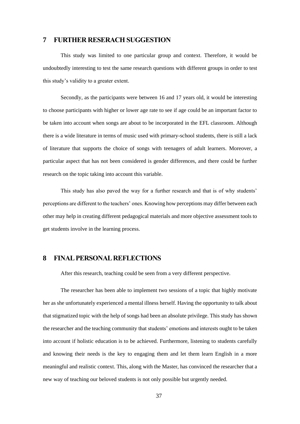# <span id="page-36-0"></span>**7 FURTHER RESERACH SUGGESTION**

This study was limited to one particular group and context. Therefore, it would be undoubtedly interesting to test the same research questions with different groups in order to test this study's validity to a greater extent.

Secondly, as the participants were between 16 and 17 years old, it would be interesting to choose participants with higher or lower age rate to see if age could be an important factor to be taken into account when songs are about to be incorporated in the EFL classroom. Although there is a wide literature in terms of music used with primary-school students, there is still a lack of literature that supports the choice of songs with teenagers of adult learners. Moreover, a particular aspect that has not been considered is gender differences, and there could be further research on the topic taking into account this variable.

This study has also paved the way for a further research and that is of why students' perceptions are different to the teachers' ones. Knowing how perceptions may differ between each other may help in creating different pedagogical materials and more objective assessment tools to get students involve in the learning process.

# <span id="page-36-1"></span>**8 FINAL PERSONAL REFLECTIONS**

After this research, teaching could be seen from a very different perspective.

The researcher has been able to implement two sessions of a topic that highly motivate her as she unfortunately experienced a mental illness herself. Having the opportunity to talk about that stigmatized topic with the help of songs had been an absolute privilege. This study has shown the researcher and the teaching community that students' emotions and interests ought to be taken into account if holistic education is to be achieved. Furthermore, listening to students carefully and knowing their needs is the key to engaging them and let them learn English in a more meaningful and realistic context. This, along with the Master, has convinced the researcher that a new way of teaching our beloved students is not only possible but urgently needed.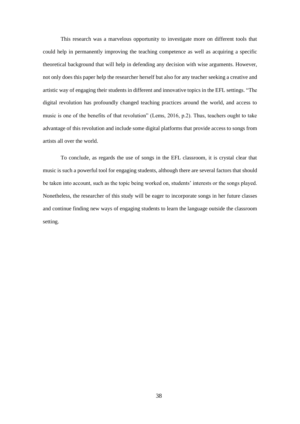This research was a marvelous opportunity to investigate more on different tools that could help in permanently improving the teaching competence as well as acquiring a specific theoretical background that will help in defending any decision with wise arguments. However, not only does this paper help the researcher herself but also for any teacher seeking a creative and artistic way of engaging their students in different and innovative topics in the EFL settings. "The digital revolution has profoundly changed teaching practices around the world, and access to music is one of the benefits of that revolution" (Lems, 2016, p.2). Thus, teachers ought to take advantage of this revolution and include some digital platforms that provide access to songs from artists all over the world.

To conclude, as regards the use of songs in the EFL classroom, it is crystal clear that music is such a powerful tool for engaging students, although there are several factors that should be taken into account, such as the topic being worked on, students' interests or the songs played. Nonetheless, the researcher of this study will be eager to incorporate songs in her future classes and continue finding new ways of engaging students to learn the language outside the classroom setting.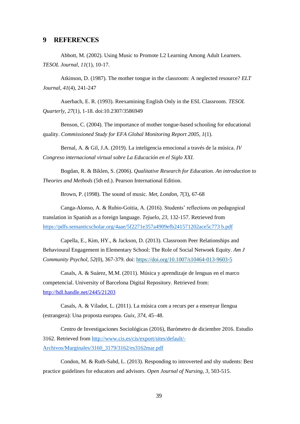#### <span id="page-38-0"></span>**9 REFERENCES**

Abbott, M. (2002). Using Music to Promote L2 Learning Among Adult Learners. *TESOL Journal, 11*(1), 10-17.

Atkinson, D. (1987). The mother tongue in the classroom: A neglected resource? *ELT Journal, 41*(4), 241-247

Auerbach, E. R. (1993). Reexamining English Only in the ESL Classroom. *TESOL Quarterly, 27*(1), 1-18. doi:10.2307/3586949

Benson, C. (2004). The importance of mother tongue-based schooling for educational quality. *Commissioned Study for EFA Global Monitoring Report 2005, 1*(1).

Bernal, A. & Gil, J.A. (2019). La inteligencia emocional a través de la música. *IV Congreso internacional virtual sobre La Educación en el Siglo XXI.* 

Bogdan, R. & Biklen, S. (2006). *Qualitative Research for Education. An introduction to Theories and Methods* (5th ed.). Pearson International Edition.

Brown, P. (1998). The sound of music. *Met, London, 7*(3), 67-68

Canga-Alonso, A. & Rubio-Goitia, A. (2016). Students' reflections on pedagogical translation in Spanish as a foreign language. *Tejuelo, 23*, 132-157. Retrieved from [https://pdfs.semanticscholar.org/4aae/5f2271e357a4909efb241571202ace5c773 b.pdf](https://pdfs.semanticscholar.org/4aae/5f2271e357a4909efb241571202ace5c773%20b.pdf)

Capella, E., Kim, HY., & Jackson, D. (2013). Classroom Peer Relationships and Behavioural Engagement in Elementary School: The Role of Social Netwoek Equity. *Am J Community Psychol, 52*(0), 367-379. doi: <https://doi.org/10.1007/s10464-013-9603-5>

Casals, A. & Suárez, M.M. (2011). Música y aprendizaje de lenguas en el marco competencial. University of Barcelona Digital Repository. Retrieved from: <http://hdl.handle.net/2445/21203>

Casals, A. & Viladot, L. (2011). La música com a recurs per a ensenyar llengua (estrangera): Una proposta europea. *Guix, 374*, 45–48.

Centro de Investigaciones Sociológicas (2016), Barómetro de diciembre 2016. Estudio 3162. Retrieved from [http://www.cis.es/cis/export/sites/default/-](http://www.cis.es/cis/export/sites/default/-Archivos/Marginales/3160_3179/3162/es3162mar.pdf) [Archivos/Marginales/3160\\_3179/3162/es3162mar.pdf](http://www.cis.es/cis/export/sites/default/-Archivos/Marginales/3160_3179/3162/es3162mar.pdf)

Condon, M. & Ruth-Sahd, L. (2013). Responding to introverted and shy students: Best practice guidelines for educators and advisors. *Open Journal of Nursing, 3,* 503-515.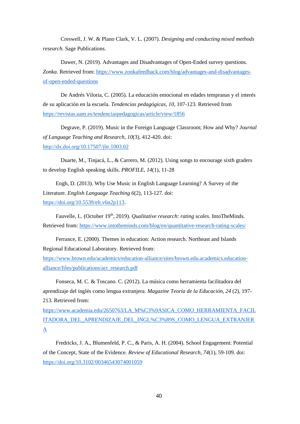Creswell, J. W. & Plano Clark, V. L. (2007). *Designing and conducting mixed methods research*. Sage Publications.

Dawer, N. (2019). Advantages and Disadvantages of Open-Ended survey questions. *Zonka.* Retrieved from[: https://www.zonkafeedback.com/blog/advantages-and-disadvantages](https://www.zonkafeedback.com/blog/advantages-and-disadvantages-of-open-ended-questions)[of-open-ended-questions](https://www.zonkafeedback.com/blog/advantages-and-disadvantages-of-open-ended-questions)

De Andrés Viloria, C. (2005). La educación emocional en edades tempranas y el interés de su aplicación en la escuela. *Tendencias pedagógicas, 10*, 107-123. Retrieved from <https://revistas.uam.es/tendenciaspedagogicas/article/view/1856>

Degrave, P. (2019). Music in the Foreign Language Classroom; How and Why? *Journal of Language Teaching and Research, 10*(3), 412-420. doi: <http://dx.doi.org/10.17507/jltr.1003.02>

Duarte, M., Tinjacá, L., & Carrero, M. (2012). Using songs to encourage sixth graders to develop English speaking skills. *PROFILE, 14*(1), 11-28

Engh, D. (2013). Why Use Music in English Language Learning? A Survey of the Literature. *English Language Teaching 6*(2), 113-127. doi: [https://doi.org/10.5539/elt.v6n2p113.](https://doi.org/10.5539/elt.v6n2p113)

Fauvelle, L. (October 19th, 2019). *Qualitative research: rating scales*. IntoTheMinds. Retrieved from:<https://www.intotheminds.com/blog/en/quantitative-research-rating-scales/>

Ferrance, E. (2000). Themes in education: Action research. Northeast and Islands Regional Educational Laboratory. Retrieved from:

[https://www.brown.edu/academics/education-alliance/sites/brown.edu.academics.education](https://www.brown.edu/academics/education-alliance/sites/brown.edu.academics.education-alliance/files/publications/act_research.pdf)[alliance/files/publications/act\\_research.pdf](https://www.brown.edu/academics/education-alliance/sites/brown.edu.academics.education-alliance/files/publications/act_research.pdf)

Fonseca, M. C. & Toscano. C. (2012). La música como herramienta facilitadora del aprendizaje del inglés como lengua extranjera. *Magazine Teoría de la Educación, 24* (2), 197- 213. Retrieved from:

[https://www.academia.edu/2650763/LA\\_M%C3%9ASICA\\_COMO\\_HERRAMIENTA\\_FACIL](https://www.academia.edu/2650763/LA_M%C3%9ASICA_COMO_HERRAMIENTA_FACILITADORA_DEL_APRENDIZAJE_DEL_INGL%C3%89S_COMO_LENGUA_EXTRANJERA) [ITADORA\\_DEL\\_APRENDIZAJE\\_DEL\\_INGL%C3%89S\\_COMO\\_LENGUA\\_EXTRANJER](https://www.academia.edu/2650763/LA_M%C3%9ASICA_COMO_HERRAMIENTA_FACILITADORA_DEL_APRENDIZAJE_DEL_INGL%C3%89S_COMO_LENGUA_EXTRANJERA) [A](https://www.academia.edu/2650763/LA_M%C3%9ASICA_COMO_HERRAMIENTA_FACILITADORA_DEL_APRENDIZAJE_DEL_INGL%C3%89S_COMO_LENGUA_EXTRANJERA)

Fredricks, J. A., Blumenfeld, P. C., & Paris, A. H. (2004). School Engagement: Potential of the Concept, State of the Evidence. *Review of Educational Research, 74*(1), 59-109. doi: [https://doi.org/10.3102/00346543074001059](https://doi.org/10.3102%2F00346543074001059)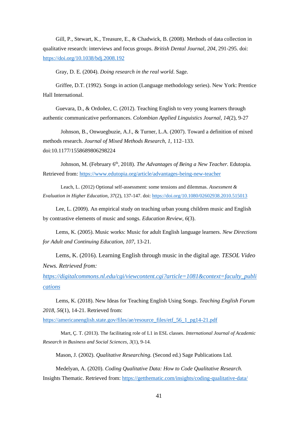Gill, P., Stewart, K., Treasure, E., & Chadwick, B. (2008). Methods of data collection in qualitative research: interviews and focus groups. *British Dental Journal, 204*, 291-295. doi: <https://doi.org/10.1038/bdj.2008.192>

Gray, D. E. (2004). *Doing research in the real world*. Sage.

Griffee, D.T. (1992). Songs in action (Language methodology series). New York: Prentice Hall International.

Guevara, D., & Ordoñez, C. (2012). Teaching English to very young learners through authentic communicative performances. *Colombian Applied Linguistics Journal, 14*(2), 9-27

Johnson, B., Onwuegbuzie, A.J., & Turner, L.A. (2007). Toward a definition of mixed methods research. *Journal of Mixed Methods Research, 1,* 112–133. doi:10.1177/1558689806298224

Johnson, M. (February 6<sup>th</sup>, 2018). *The Advantages of Being a New Teacher*. Edutopia. Retrieved from:<https://www.edutopia.org/article/advantages-being-new-teacher>

Leach, L. (2012) Optional self-assessment: some tensions and dilemmas. *Assessment & Evaluation in Higher Education, 37*(2), 137-147. doi[: https://doi.org/10.1080/02602938.2010.515013](https://doi.org/10.1080/02602938.2010.515013)

Lee, L. (2009). An empirical study on teaching urban young children music and English by contrastive elements of music and songs. *Education Review, 6*(3).

Lems, K. (2005). Music works: Music for adult English language learners. *New Directions for Adult and Continuing Education, 107*, 13-21.

Lems, K. (2016). Learning English through music in the digital age. *TESOL Video News. Retrieved from:* 

*[https://digitalcommons.nl.edu/cgi/viewcontent.cgi?article=1081&context=faculty\\_publi](https://digitalcommons.nl.edu/cgi/viewcontent.cgi?article=1081&context=faculty_publications) [cations](https://digitalcommons.nl.edu/cgi/viewcontent.cgi?article=1081&context=faculty_publications)*

Lems, K. (2018). New Ideas for Teaching English Using Songs. *Teaching English Forum 2018, 56*(1)*,* 14-21. Retrieved from:

[https://americanenglish.state.gov/files/ae/resource\\_files/etf\\_56\\_1\\_pg14-21.pdf](https://americanenglish.state.gov/files/ae/resource_files/etf_56_1_pg14-21.pdf)

Mart, Ç. T. (2013). The facilitating role of L1 in ESL classes. *International Journal of Academic Research in Business and Social Sciences, 3*(1), 9-14.

[Mason, J.](https://www.research.manchester.ac.uk/portal/jennifer.mason.html) (2002). *[Qualitative Researching](https://www.research.manchester.ac.uk/portal/en/publications/qualitative-researching(aff785c7-5d5a-44f0-9244-63723d4279f6).html)*. (Second ed.) Sage Publications Ltd.

Medelyan, A. (2020). *Coding Qualitative Data: How to Code Qualitative Research.*  Insights Thematic. Retrieved from:<https://getthematic.com/insights/coding-qualitative-data/>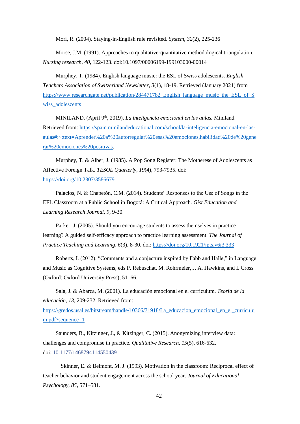Mori, R. (2004). Staying-in-English rule revisited. *System, 32*(2), 225-236

Morse, J.M. (1991). Approaches to qualitative-quantitative methodological triangulation. *Nursing research, 40,* 122-123. doi:10.1097/00006199-199103000-00014

Murphey, T. (1984). English language music: the ESL of Swiss adolescents. *English Teachers Association of Switzerland Newsletter, 3*(1), 18-19. Retrieved (January 2021) from [https://www.researchgate.net/publication/284471782\\_English\\_language\\_music\\_the\\_ESL\\_of\\_S](https://www.researchgate.net/publication/284471782_English_language_music_the_ESL_of_Swiss_adolescents) [wiss\\_adolescents](https://www.researchgate.net/publication/284471782_English_language_music_the_ESL_of_Swiss_adolescents)

MINILAND. (April 9th, 2019). *La inteligencia emocional en las aulas.* Miniland. Retrieved from: [https://spain.minilandeducational.com/school/la-inteligencia-emocional-en-las](https://spain.minilandeducational.com/school/la-inteligencia-emocional-en-las-aulas#:~:text=Aprender%20a%20autorregular%20esas%20emociones,habilidad%20de%20generar%20emociones%20positivas)[aulas#:~:text=Aprender%20a%20autorregular%20esas%20emociones,habilidad%20de%20gene](https://spain.minilandeducational.com/school/la-inteligencia-emocional-en-las-aulas#:~:text=Aprender%20a%20autorregular%20esas%20emociones,habilidad%20de%20generar%20emociones%20positivas) [rar%20emociones%20positivas.](https://spain.minilandeducational.com/school/la-inteligencia-emocional-en-las-aulas#:~:text=Aprender%20a%20autorregular%20esas%20emociones,habilidad%20de%20generar%20emociones%20positivas)

Murphey, T. & Alber, J. (1985). A Pop Song Register: The Motherese of Adolescents as Affective Foreign Talk. *TESOL Quarterly, 19*(4), 793-7935. doi: <https://doi.org/10.2307/3586679>

Palacios, N. & Chapetón, C.M. (2014). Students' Responses to the Use of Songs in the EFL Classroom at a Public School in Bogotá: A Critical Approach. *Gist Education and Learning Research Journal, 9*, 9-30.

Parker, J. (2005). Should you encourage students to assess themselves in practice learning? A guided self-efficacy approach to practice learning assessment. *The Journal of Practice Teaching and Learning*, *6*(3), 8-30. doi:<https://doi.org/10.1921/jpts.v6i3.333>

Roberts, I. (2012). "Comments and a conjecture inspired by Fabb and Halle," in Language and Music as Cognitive Systems, eds P. Rebuschat, M. Rohrmeier, J. A. Hawkins, and I. Cross (Oxford: Oxford University Press), 51–66.

Sala, J. & Abarca, M. (2001). La educación emocional en el currículum. *Teoría de la educación, 13,* 209-232. Retrieved from:

[https://gredos.usal.es/bitstream/handle/10366/71918/La\\_educacion\\_emocional\\_en\\_el\\_curriculu](https://gredos.usal.es/bitstream/handle/10366/71918/La_educacion_emocional_en_el_curriculum.pdf?sequence=1) [m.pdf?sequence=1](https://gredos.usal.es/bitstream/handle/10366/71918/La_educacion_emocional_en_el_curriculum.pdf?sequence=1)

Saunders, B., Kitzinger, J., & Kitzinger, C. (2015). Anonymizing interview data: challenges and compromise in practice. *Qualitative Research, 15*(5), 616-632. doi: [10.1177/1468794114550439](https://dx.doi.org/10.1177%2F1468794114550439)

Skinner, E. & Belmont, M. J. (1993). Motivation in the classroom: Reciprocal effect of teacher behavior and student engagement across the school year. *Journal of Educational Psychology, 85*, 571–581.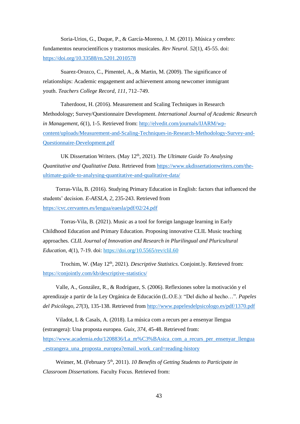Soria-Urios, G., Duque, P., & García-Moreno, J. M. (2011). Música y cerebro: fundamentos neurocientíficos y trastornos musicales. *Rev Neurol. 52*(1), 45-55. doi: <https://doi.org/10.33588/rn.5201.2010578>

Suarez-Orozco, C., Pimentel, A., & Martin, M. (2009). The significance of relationships: Academic engagement and achievement among newcomer immigrant youth. *Teachers College Record, 111,* 712–749.

Taherdoost, H. (2016). Measurement and Scaling Techniques in Research Methodology; Survey/Questionnaire Development. *International Journal of Academic Research in Management, 6*(1), 1-5. Retrieved from: [http://elvedit.com/journals/IJARM/wp](http://elvedit.com/journals/IJARM/wp-content/uploads/Measurement-and-Scaling-Techniques-in-Research-Methodology-Survey-and-Questionnaire-Development.pdf)[content/uploads/Measurement-and-Scaling-Techniques-in-Research-Methodology-Survey-and-](http://elvedit.com/journals/IJARM/wp-content/uploads/Measurement-and-Scaling-Techniques-in-Research-Methodology-Survey-and-Questionnaire-Development.pdf)[Questionnaire-Development.pdf](http://elvedit.com/journals/IJARM/wp-content/uploads/Measurement-and-Scaling-Techniques-in-Research-Methodology-Survey-and-Questionnaire-Development.pdf)

UK Dissertation Writers. (May 12<sup>th</sup>, 2021). *The Ultimate Guide To Analysing Quantitative and Qualitative Data*. Retrieved from [https://www.ukdissertationwriters.com/the](https://www.ukdissertationwriters.com/the-ultimate-guide-to-analysing-quantitative-and-qualitative-data/)[ultimate-guide-to-analysing-quantitative-and-qualitative-data/](https://www.ukdissertationwriters.com/the-ultimate-guide-to-analysing-quantitative-and-qualitative-data/)

Torras-Vila, B. (2016). Studying Primary Education in English: factors that influenced the students' decision. *E-AESLA, 2*, 235-243. Retrieved from <https://cvc.cervantes.es/lengua/eaesla/pdf/02/24.pdf>

Torras-Vila, B. (2021). Music as a tool for foreign language learning in Early Childhood Education and Primary Education. Proposing innovative CLIL Music teaching approaches. *CLIL Journal of Innovation and Research in Plurilingual and Pluricultural Education, 4*(1), 7-19. doi:<https://doi.org/10.5565/rev/clil.60>

Trochim, W. (May 12<sup>th</sup>, 2021). *Descriptive Statistics*. Conjoint.ly. Retrieved from: <https://conjointly.com/kb/descriptive-statistics/>

Valle, A., González, R., & Rodríguez, S. (2006). Reflexiones sobre la motivación y el aprendizaje a partir de la Ley Orgánica de Educación (L.O.E.): "Del dicho al hecho…". *Papeles del Psicólogo, 27*(3), 135-138. Retrieved from<http://www.papelesdelpsicologo.es/pdf/1370.pdf>

Viladot, L & Casals, A. (2018). La música com a recurs per a ensenyar llengua (estrangera): Una proposta europea. *Guix, 374*, 45-48. Retrieved from: [https://www.academia.edu/1208836/La\\_m%C3%BAsica\\_com\\_a\\_recurs\\_per\\_ensenyar\\_llengua](https://www.academia.edu/1208836/La_m%C3%BAsica_com_a_recurs_per_ensenyar_llengua_estrangera_una_proposta_europea?email_work_card=reading-history) [\\_estrangera\\_una\\_proposta\\_europea?email\\_work\\_card=reading-history](https://www.academia.edu/1208836/La_m%C3%BAsica_com_a_recurs_per_ensenyar_llengua_estrangera_una_proposta_europea?email_work_card=reading-history)

Weimer, M. (February 5<sup>th</sup>, 2011). *10 Benefits of Getting Students to Participate in Classroom Dissertations.* Faculty Focus. Retrieved from: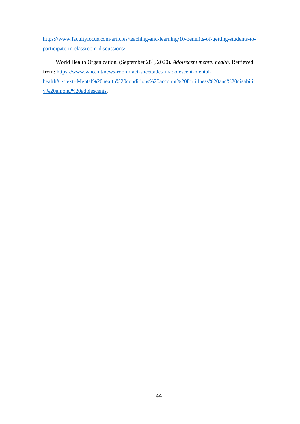[https://www.facultyfocus.com/articles/teaching-and-learning/10-benefits-of-getting-students-to](https://www.facultyfocus.com/articles/teaching-and-learning/10-benefits-of-getting-students-to-participate-in-classroom-discussions/)[participate-in-classroom-discussions/](https://www.facultyfocus.com/articles/teaching-and-learning/10-benefits-of-getting-students-to-participate-in-classroom-discussions/)

World Health Organization. (September 28th, 2020). *Adolescent mental health*. Retrieved from: [https://www.who.int/news-room/fact-sheets/detail/adolescent-mental](https://www.who.int/news-room/fact-sheets/detail/adolescent-mental-health#:~:text=Mental%20health%20conditions%20account%20for,illness%20and%20disability%20among%20adolescents)[health#:~:text=Mental%20health%20conditions%20account%20for,illness%20and%20disabilit](https://www.who.int/news-room/fact-sheets/detail/adolescent-mental-health#:~:text=Mental%20health%20conditions%20account%20for,illness%20and%20disability%20among%20adolescents) [y%20among%20adolescents.](https://www.who.int/news-room/fact-sheets/detail/adolescent-mental-health#:~:text=Mental%20health%20conditions%20account%20for,illness%20and%20disability%20among%20adolescents)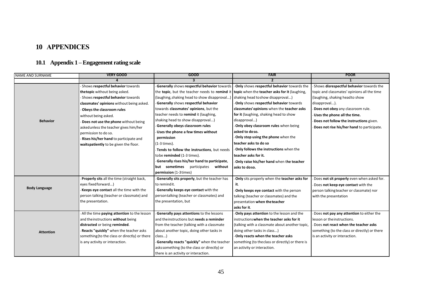# **10 APPENDICES**

# **10.1 Appendix 1 –Engagement rating scale**

<span id="page-44-1"></span><span id="page-44-0"></span>

| <b>NAME AND SURNAME</b> | <b>VERY GOOD</b>                              | <b>GOOD</b>                                   | <b>FAIR</b>                                      | <b>POOR</b>                                   |
|-------------------------|-----------------------------------------------|-----------------------------------------------|--------------------------------------------------|-----------------------------------------------|
|                         |                                               | 3                                             | $\overline{2}$                                   |                                               |
|                         | Shows respectful behavior towards             | Generally shows respectful behavior towards   | - Only shows respectful behavior towards the     | Shows disrespectful behavior towards the      |
|                         | thetopic without being asked.                 | the topic, but the teacher needs to remind it | topic when the teacher asks for it (laughing,    | topic and classmates' opinions all the time   |
|                         | Shows respectful behavior towards             | (laughing, shaking head to show disapproval)  | shaking head to show disapproval)                | (laughing, shaking headto show                |
|                         | classmates' opinions without being asked.     | Generally shows respectful behavior           | Only shows respectful behavior towards           | disapproval).                                 |
|                         | Obeys the classroom rules                     | towards classmates' opinions, but the         | classmates' opinions when the teacher asks       | Does not obey any classroom rule.             |
|                         | without being asked.                          | teacher needs to remind it (laughing,         | for it (laughing, shaking head to show           | Uses the phone all the time.                  |
| <b>Behavior</b>         | Does not use the phone without being          | shaking head to show disapproval)             | disapproval)                                     | Does not follow the instructions given.       |
|                         | asked unless the teacher gives him/her        | Generally obeys classroom rules               | Only obey classroom rules when being             | Does not rise his/her hand to participate.    |
|                         | permission to do so.                          | Uses the phone a few times without            | asked to doso.                                   |                                               |
|                         | Rises his/her hand to participate and         | permission                                    | Only stop using the phone when the               |                                               |
|                         | waitspatiently to be given the floor.         | (1-3 times).                                  | teacher asks to do so                            |                                               |
|                         |                                               | Tends to follow the instructions, but needs   | Only follows the instructions when the           |                                               |
|                         |                                               | tobe reminded (1-3 times).                    | teacher asks for it.                             |                                               |
|                         |                                               | Generally rises his/her hand to participate,  | Only raise his/her hand when the teacher         |                                               |
|                         |                                               | but sometimes participates<br>without         | asks to doso.                                    |                                               |
|                         |                                               | permission (1-3 times)                        |                                                  |                                               |
|                         | Properly sits all the time (straight back,    | Generally sits properly, but the teacher has  | Only sits properly when the teacher asks for     | Does not sit properly even when asked for.    |
|                         | eyes fixed forward)                           | to remindit.                                  | it.                                              | Does not keep eye contact with the            |
| <b>Body Language</b>    | Keeps eye contact all the time with the       | Generally keeps eye contact with the          | Only keeps eye contact with the person           | person talking teacher or classmate) nor      |
|                         | person talking (teacher or classmate) and     | persontalking (teacher or classmates) and     | talking (teacher or classmates) and the          | with the presentation                         |
|                         | the presentation.                             | the presentation, but                         | presentation when the teacher                    |                                               |
|                         |                                               |                                               | asks for it.                                     |                                               |
|                         | All the time paying attention to the lesson   | Generally pays attentions to the lessons      | Only pays attention to the lesson and the        | Does not pay any attention to either the      |
|                         | and the instructions without being            | and the instructions but needs a reminder     | instructions when the teacher asks for it        | lesson or the instructions.                   |
|                         | distracted or being reminded.                 | from the teacher (talking with a classmate    | (talking with a classmate about another topic,   | Does not react when the teacher asks          |
| <b>Attention</b>        | Reacts "quickly" when the teacher asks        | about another topic, doing other tasks in     | doing other tasks in class)                      | something (to the class or directly) or there |
|                         | something (to the class or directly) or there | class)                                        | - Only reacts when the teacher asks              | is an activity or interaction.                |
|                         | is any activity or interaction.               | Generally reacts "quickly" when the teacher   | something (to the class or directly) or there is |                                               |
|                         |                                               | askssomething (to the class or directly) or   | an activity or interaction.                      |                                               |
|                         |                                               | there is an activity or interaction.          |                                                  |                                               |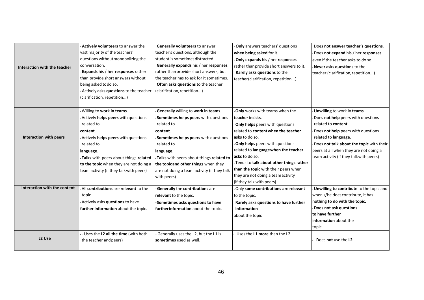|                              | Actively volunteers to answer the        | Generally volunteers to answer              | Only answers teachers' questions          | Does not answer teacher's questions.     |
|------------------------------|------------------------------------------|---------------------------------------------|-------------------------------------------|------------------------------------------|
|                              | vast majority of the teachers'           | teacher's questions, although the           | when being asked for it.                  | Does not expand his / her responses      |
|                              | questions without monopolizing the       | student is sometimes distracted.            | Only expands his / her responses          | even if the teacher asks to do so.       |
| Interaction with the teacher | conversation.                            | Generally expands his / her responses       | rather than provide short answers to it.  | Never asks questions to the              |
|                              | Expands his / her responses rather       | rather than provide short answers, but      | Rarely asks questions to the              | teacher (clarification, repetition)      |
|                              | than provide short answers without       | the teacher has to ask for it sometimes.    | teacher (clarification, repetition)       |                                          |
|                              | being asked to do so.                    | Often asks questions to the teacher         |                                           |                                          |
|                              | - Actively asks questions to the teacher | (clarification, repetition)                 |                                           |                                          |
|                              | (clarification, repetition)              |                                             |                                           |                                          |
|                              |                                          |                                             |                                           |                                          |
|                              | - Willing to work in teams.              | Generally willing to work in teams.         | Only works with teams when the            | Unwilling to work in teams.              |
|                              | Actively helps peers with questions      | Sometimes helps peers with questions        | teacher insists.                          | Does not help peers with questions       |
|                              | related to                               | related to                                  | Only helps peers with questions           | related to content.                      |
|                              | content.                                 | content.                                    | related to content when the teacher       | Does not help peers with questions       |
| Interaction with peers       | - Actively helps peers with questions    | Sometimes helps peers with questions        | asks to do so.                            | related to language.                     |
|                              | related to                               | related to                                  | Only helps peers with questions           | Does not talk about the topic with their |
|                              | language.                                | language.                                   | related to language when the teacher      | peers at all when they are not doing a   |
|                              | -Talks with peers about things related   | Talks with peers about things related to    | asks to do so.                            | team activity (if they talk with peers)  |
|                              | to the topic when they are not doing a   | the topicand other things when they         | - Tends to talk about other things rather |                                          |
|                              | team activity (if they talk with peers)  | are not doing a team activity (if they talk | than the topic with their peers when      |                                          |
|                              |                                          | with peers)                                 | they are not doing a team activity        |                                          |
|                              |                                          |                                             | (if they talk with peers)                 |                                          |
| Interaction with the content | All contributions are relevant to the    | Generally the contributions are             | Only some contributions are relevant      | Unwilling to contribute to the topic and |
|                              | topic                                    | relevant to the topic.                      | to the topic.                             | when s/he does contribute, it has        |
|                              | - Actively asks questions to have        | -Sometimes asks questions to have           | Rarely asks questions to have further     | nothing to do with the topic.            |
|                              | further information about the topic.     | further information about the topic.        | information                               | Does not ask questions                   |
|                              |                                          |                                             | about the topic                           | to have further                          |
|                              |                                          |                                             |                                           | information about the                    |
|                              |                                          |                                             |                                           | topic                                    |
|                              | - Uses the L2 all the time (with both    | Generally uses the L2, but the L1 is        | Uses the L1 more than the L2.             |                                          |
| L <sub>2</sub> Use           | the teacher and peers)                   | sometimes used as well.                     |                                           | - Does not use the L2.                   |
|                              |                                          |                                             |                                           |                                          |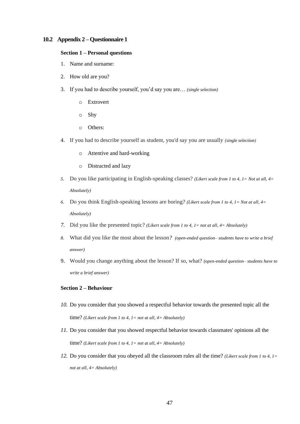#### <span id="page-46-0"></span>**10.2 Appendix 2 – Questionnaire 1**

#### **Section 1 – Personal questions**

- 1. Name and surname:
- 2. How old are you?
- 3. If you had to describe yourself, you'd say you are… *(single selection)*
	- o Extrovert
	- o Shy
	- o Others:
- 4. If you had to describe yourself as student, you'd say you are usually *(single selection)*
	- o Attentive and hard-working
	- o Distracted and lazy
- *5.* Do you like participating in English-speaking classes? *(Likert scale from 1 to 4, 1= Not at all, 4= Absolutely)*
- *6.* Do you think English-speaking lessons are boring? *(Likert scale from 1 to 4, 1= Not at all, 4= Absolutely)*
- *7.* Did you like the presented topic? *(Likert scale from 1 to 4, 1= not at all, 4= Absolutely)*
- *8.* What did you like the most about the lesson*? (open-ended question– students have to write a brief answer)*
- 9. Would you change anything about the lesson? If so, what? *(open-ended question– students have to write a brief answer)*

#### **Section 2 – Behaviour**

- *10.* Do you consider that you showed a respectful behavior towards the presented topic all the time? *(Likert scale from 1 to 4, 1= not at all, 4= Absolutely)*
- *11.* Do you consider that you showed respectful behavior towards classmates' opinions all the time? *(Likert scale from 1 to 4, 1= not at all, 4= Absolutely)*
- *12.* Do you consider that you obeyed all the classroom rules all the time? *(Likert scale from 1 to 4, 1= not at all, 4= Absolutely)*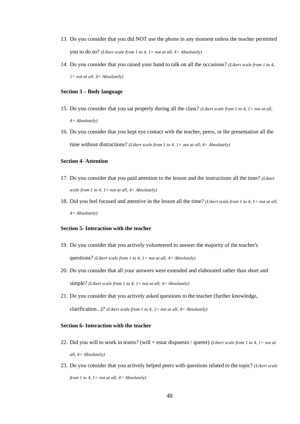- *13.* Do you consider that you did NOT use the phone in any moment unless the teacher permitted you to do so? *(Likert scale from 1 to 4, 1= not at all, 4= Absolutely)*
- *14.* Do you consider that you raised your hand to talk on all the occasions? *(Likert scale from 1 to 4, 1= not at all, 4= Absolutely)*

#### **Section 3 – Body language**

- 15. Do you consider that you sat properly during all the class? *(Likert scale from 1 to 4, 1= not at all, 4= Absolutely)*
- 16. Do you consider that you kept eye contact with the teacher, peers, or the presentation all the time without distractions? *(Likert scale from 1 to 4, 1= not at all, 4= Absolutely)*

#### **Section 4- Attention**

- 17. Do you consider that you paid attention to the lesson and the instructions all the time? *(Likert scale from 1 to 4, 1= not at all, 4= Absolutely)*
- 18. Did you feel focused and attentive in the lesson all the time? *(Likert scale from 1 to 4, 1= not at all, 4= Absolutely)*

#### **Section 5- Interaction with the teacher**

- 19. Do you consider that you actively volunteered to answer the majority of the teacher's questions? *(Likert scale from 1 to 4, 1= not at all, 4= Absolutely)*
- 20. Do you consider that all your answers were extended and elaborated rather than short and simple? *(Likert scale from 1 to 4, 1= not at all, 4= Absolutely)*
- 21. Do you consider that you actively asked questions to the teacher (further knowledge, clarification...)? *(Likert scale from 1 to 4, 1= not at all, 4= Absolutely)*

#### **Section 6- Interaction with the teacher**

- 22. Did you will to work in teams? (will = estar dispuesto / querer) *(Likert scale from 1 to 4, 1= not at all, 4= Absolutely)*
- 23. Do you consider that you actively helped peers with questions related to the topic? *(Likert scale from 1 to 4, 1= not at all, 4= Absolutely)*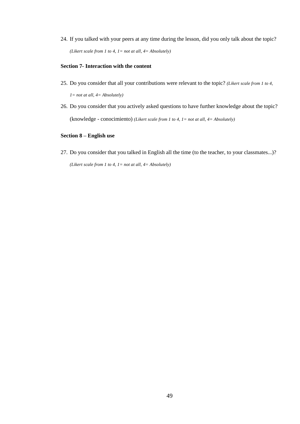24. If you talked with your peers at any time during the lesson, did you only talk about the topic? *(Likert scale from 1 to 4, 1= not at all, 4= Absolutely)*

#### **Section 7- Interaction with the content**

- 25. Do you consider that all your contributions were relevant to the topic? *(Likert scale from 1 to 4, 1= not at all, 4= Absolutely)*
- 26. Do you consider that you actively asked questions to have further knowledge about the topic? (knowledge - conocimiento) *(Likert scale from 1 to 4, 1= not at all, 4= Absolutely)*

#### **Section 8 – English use**

27. Do you consider that you talked in English all the time (to the teacher, to your classmates...)? *(Likert scale from 1 to 4, 1= not at all, 4= Absolutely)*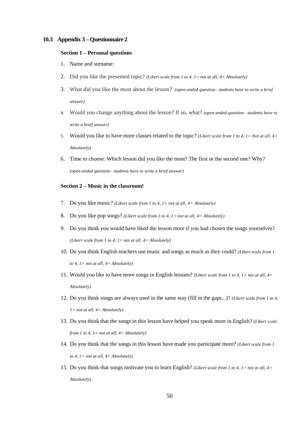#### <span id="page-49-0"></span>**10.3 Appendix 3 – Questionnaire 2**

#### **Section 1 – Personal questions**

- 1. Name and surname:
- 2. Did you like the presented topic? *(Likert scale from 1 to 4, 1= not at all, 4= Absolutely)*
- 3. What did you like the most about the lesson*? (open-ended question– students have to write a brief answer)*
- 4. Would you change anything about the lesson? If so, what? *(open-ended question– students have to write a brief answer)*
- 5. Would you like to have more classes related to the topic? *(Likert scale from 1 to 4, 1= Not at all, 4= Absolutely)*
- 6. Time to choose. Which lesson did you like the most? The first or the second one? Why? *(open-ended question– students have to write a brief answer)*

#### **Section 2 – Music in the classroom!**

- 7. Do you like music? *(Likert scale from 1 to 4, 1= not at all, 4= Absolutely)*
- 8. Do you like pop songs? *(Likert scale from 1 to 4, 1= not at all, 4= Absolutely)*
- 9. Do you think you would have liked the lesson more if you had chosen the songs yourselves? *(Likert scale from 1 to 4, 1= not at all, 4= Absolutely)*
- 10. Do you think English teachers use music and songs as much as they could? *(Likert scale from 1 to 4, 1= not at all, 4= Absolutely)*
- 11. Would you like to have more songs in English lessons? *(Likert scale from 1 to 4, 1= not at all, 4= Absolutely)*
- 12. Do you think songs are always used in the same way (fill in the gaps...)? *(Likert scale from 1 to 4, 1= not at all, 4= Absolutely)*
- 13. Do you think that the songs in this lesson have helped you speak more in English? *(Likert scale from 1 to 4, 1= not at all, 4= Absolutely)*
- 14. Do you think that the songs in this lesson have made you participate more? *(Likert scale from 1 to 4, 1= not at all, 4= Absolutely)*
- 15. Do you think that songs motivate you to learn English? *(Likert scale from 1 to 4, 1= not at all, 4= Absolutely)*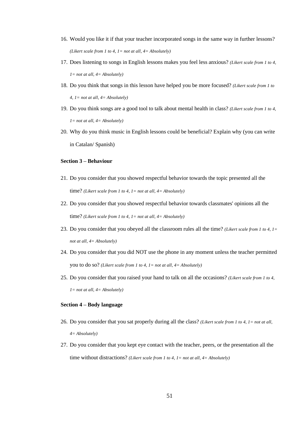- 16. Would you like it if that your teacher incorporated songs in the same way in further lessons? *(Likert scale from 1 to 4, 1= not at all, 4= Absolutely)*
- 17. Does listening to songs in English lessons makes you feel less anxious? *(Likert scale from 1 to 4, 1= not at all, 4= Absolutely)*
- 18. Do you think that songs in this lesson have helped you be more focused? *(Likert scale from 1 to 4, 1= not at all, 4= Absolutely)*
- 19. Do you think songs are a good tool to talk about mental health in class? *(Likert scale from 1 to 4, 1= not at all, 4= Absolutely)*
- 20. Why do you think music in English lessons could be beneficial? Explain why (you can write in Catalan/ Spanish)

#### **Section 3 – Behaviour**

- 21. Do you consider that you showed respectful behavior towards the topic presented all the time? *(Likert scale from 1 to 4, 1= not at all, 4= Absolutely)*
- 22. Do you consider that you showed respectful behavior towards classmates' opinions all the time? *(Likert scale from 1 to 4, 1= not at all, 4= Absolutely)*
- 23. Do you consider that you obeyed all the classroom rules all the time? *(Likert scale from 1 to 4, 1= not at all, 4= Absolutely)*
- 24. Do you consider that you did NOT use the phone in any moment unless the teacher permitted you to do so? *(Likert scale from 1 to 4, 1= not at all, 4= Absolutely)*
- 25. Do you consider that you raised your hand to talk on all the occasions? *(Likert scale from 1 to 4, 1= not at all, 4= Absolutely)*

#### **Section 4 – Body language**

- 26. Do you consider that you sat properly during all the class? *(Likert scale from 1 to 4, 1= not at all, 4= Absolutely)*
- 27. Do you consider that you kept eye contact with the teacher, peers, or the presentation all the time without distractions? *(Likert scale from 1 to 4, 1= not at all, 4= Absolutely)*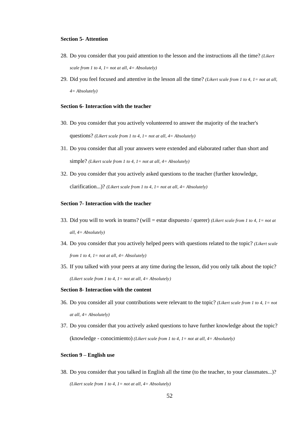#### **Section 5- Attention**

- 28. Do you consider that you paid attention to the lesson and the instructions all the time? *(Likert scale from 1 to 4, 1= not at all, 4= Absolutely)*
- 29. Did you feel focused and attentive in the lesson all the time? *(Likert scale from 1 to 4, 1= not at all, 4= Absolutely)*

#### **Section 6- Interaction with the teacher**

- 30. Do you consider that you actively volunteered to answer the majority of the teacher's questions? *(Likert scale from 1 to 4, 1= not at all, 4= Absolutely)*
- 31. Do you consider that all your answers were extended and elaborated rather than short and simple? *(Likert scale from 1 to 4, 1= not at all, 4= Absolutely)*
- 32. Do you consider that you actively asked questions to the teacher (further knowledge, clarification...)? *(Likert scale from 1 to 4, 1= not at all, 4= Absolutely)*

#### **Section 7- Interaction with the teacher**

- 33. Did you will to work in teams? (will = estar dispuesto / querer) *(Likert scale from 1 to 4, 1= not at all, 4= Absolutely)*
- 34. Do you consider that you actively helped peers with questions related to the topic? *(Likert scale from 1 to 4, 1= not at all, 4= Absolutely)*
- 35. If you talked with your peers at any time during the lesson, did you only talk about the topic? *(Likert scale from 1 to 4, 1= not at all, 4= Absolutely)*

#### **Section 8- Interaction with the content**

- 36. Do you consider all your contributions were relevant to the topic? *(Likert scale from 1 to 4, 1= not at all, 4= Absolutely)*
- 37. Do you consider that you actively asked questions to have further knowledge about the topic? (knowledge - conocimiento) *(Likert scale from 1 to 4, 1= not at all, 4= Absolutely)*

#### **Section 9 – English use**

38. Do you consider that you talked in English all the time (to the teacher, to your classmates...)? *(Likert scale from 1 to 4, 1= not at all, 4= Absolutely)*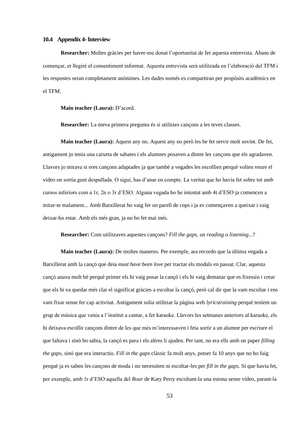#### <span id="page-52-0"></span>**10.4 Appendix 4-Interview**

**Researcher:** Moltes gràcies per haver-me donat l'oportunitat de fer aquesta entrevista. Abans de començar, et llegiré el consentiment informat. Aquesta entrevista serà utilitzada en l'elaboració del TFM i les respostes seran completament anònimes. Les dades només es compartiran per propòsits acadèmics en el TFM.

#### **Main teacher (Laura):** D'acord.

**Researcher:** La meva primera pregunta és si utilitzes cançons a les teves classes.

**Main teacher (Laura):** Aquest any no. Aquest any no però les he fet servir molt sovint. De fet, antigament jo tenia una caixeta de sabates i els alumnes posaven a dintre les cançons que els agradaven. Llavors jo mirava si eres cançons adaptades ja que també a vegades les escollien perquè volien veure el vídeo on sortia gent despullada. O sigui, has d'anar en compte. La veritat que ho havia fet sobre tot amb cursos inferiors com a 1r, 2n o 3r d'ESO. Alguna vegada ho he intentat amb 4t d'ESO ja comencen a mirar-te malament... Amb Batxillerat ho vaig fer un parell de cops i ja es començaven a queixar i vaig deixar-ho estar. Amb els més gran, ja no ho fet mai més.

**Researcher:** Com utilitzaves aquestes cançons? *Fill the gaps*, un *reading o listening*...?

**Main teacher (Laura):** De moltes maneres. Per exemple, ara recordo que la última vegada a Batxillerat amb la cançó que deia *must have been love* per tractar els modals en passat. Clar, aquesta cançó anava molt bé perquè primer els hi vaig posar la cançó i els hi vaig demanar que es fixessin i crear que els hi va quedar més clar el significat gràcies a escoltar la cançó, però cal dir que la vam escoltar i ens vam fixar sense fer cap activitat. Antigament solia utilitzar la pàgina web *lyricstraining* perquè teníem un grup de música que venia a l'institut a cantar, a fer karaoke. Llavors les setmanes anteriors al karaoke, els hi deixava escollir cançons dintre de les que més m'interessaven i feia sortir a un alumne per escriure el que faltava i sinó ho sabia, la cançó es para i els altres li ajuden. Per tant, no era ells amb un paper *filling the gaps*, sinó que era interactiu. *Fill in the gaps* clàssic fa molt anys, potser fa 10 anys que no ho faig perquè ja es saben les cançons de moda i no necessiten ni escoltar-les per *fill in the gaps.* Sí que havia fet, per exemple, amb 1r d'ESO aquella del *Roar* de Katy Perry escoltant-la una estona sense vídeo, parant-la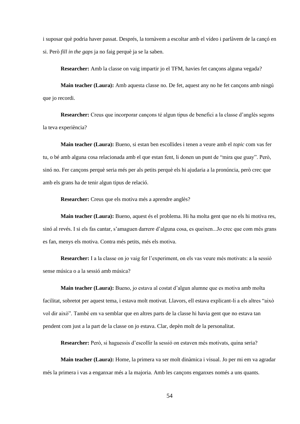i suposar què podria haver passat. Després, la tornàvem a escoltar amb el vídeo i parlàvem de la cançó en si. Però *fill in the gaps* ja no faig perquè ja se la saben.

**Researcher:** Amb la classe on vaig impartir jo el TFM, havies fet cançons alguna vegada?

**Main teacher (Laura):** Amb aquesta classe no. De fet, aquest any no he fet cançons amb ningú que jo recordi.

**Researcher:** Creus que incorporar cançons té algun tipus de benefici a la classe d'anglès segons la teva experiència?

**Main teacher (Laura):** Bueno, si estan ben escollides i tenen a veure amb el *topic* com vas fer tu, o bé amb alguna cosa relacionada amb el que estan fent, li donen un punt de "mira que guay". Però, sinó no. Fer cançons perquè seria més per als petits perquè els hi ajudaria a la pronúncia, però crec que amb els grans ha de tenir algun tipus de relació.

**Researcher:** Creus que els motiva més a aprendre anglès?

**Main teacher (Laura):** Bueno, aquest és el problema. Hi ha molta gent que no els hi motiva res, sinó al revés. I si els fas cantar, s'amaguen darrere d'alguna cosa, es queixen...Jo crec que com més grans es fan, menys els motiva. Contra més petits, més els motiva.

**Researcher:** I a la classe on jo vaig fer l'experiment, on els vas veure més motivats: a la sessió sense música o a la sessió amb música?

**Main teacher (Laura):** Bueno, jo estava al costat d'algun alumne que es motiva amb molta facilitat, sobretot per aquest tema, i estava molt motivat. Llavors, ell estava explicant-li a els altres "això vol dir això". També em va semblar que en altres parts de la classe hi havia gent que no estava tan pendent com just a la part de la classe on jo estava. Clar, depèn molt de la personalitat.

**Researcher:** Però, si haguessis d'escollir la sessió on estaven més motivats, quina seria?

**Main teacher (Laura):** Home, la primera va ser molt dinàmica i visual. Jo per mi em va agradar més la primera i vas a enganxar més a la majoria. Amb les cançons enganxes només a uns quants.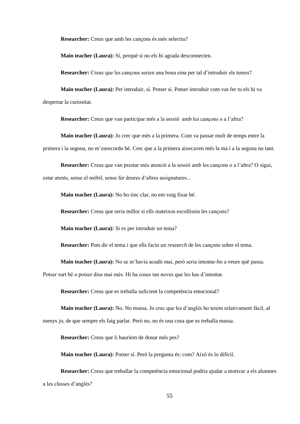**Researcher:** Creus que amb les cançons és més selectiu?

**Main teacher (Laura):** Sí, perquè si no els hi agrada desconnecten.

**Researcher:** Creus que les cançons serien una bona eina per tal d'introduir els temes?

**Main teacher (Laura):** Per introduir, sí. Potser sí. Potser introduir com vas fer tu els hi va despertar la curiositat.

**Researcher:** Creus que van participar més a la sessió amb les cançons o a l'altra?

**Main teacher (Laura):** Jo crec que més a la primera. Com va passar molt de temps entre la primera i la segona, no m'enrecordo bé. Crec que a la primera aixecaven més la mà i a la segona no tant.

**Researcher:** Creus que van prestar més atenció a la sessió amb les cançons o a l'altra? O sigui, estar atents, sense el mòbil, sense fer deures d'altres assignatures...

**Main teacher (Laura):** No ho tinc clar, no em vaig fixar bé.

**Researcher:** Creus que seria millor si ells mateixos escollissin les cançons?

**Main teacher (Laura):** Si es per introduir un tema?

**Researcher:** Pots dir el tema i que ells facin un *research* de les cançons sobre el tema.

**Main teacher (Laura):** No se m'havia acudit mai, però seria intentar-ho a veure què passa.

Potser surt bé o potser dius mai més. Hi ha coses tan noves que les has d'intentar.

**Researcher:** Creus que es treballa suficient la competència emocional?

**Main teacher (Laura):** No. No massa. Jo crec que les d'anglès ho tenim relativament fàcil, al menys jo, de que sempre els faig parlar. Però no, no és una cosa que es treballa massa.

**Researcher:** Creus que li hauríem de donar més pes?

**Main teacher (Laura):** Potser sí. Però la pregunta és: com? Això és lo difícil.

**Researcher:** Creus que treballar la competència emocional podria ajudar a motivar a els alumnes a les classes d'anglès?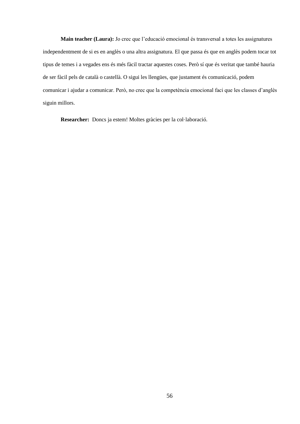**Main teacher (Laura):** Jo crec que l'educació emocional és transversal a totes les assignatures independentment de si es en anglès o una altra assignatura. El que passa és que en anglès podem tocar tot tipus de temes i a vegades ens és més fàcil tractar aquestes coses. Però sí que és veritat que també hauria de ser fàcil pels de català o castellà. O sigui les llengües, que justament és comunicació, podem comunicar i ajudar a comunicar. Però, no crec que la competència emocional faci que les classes d'anglès siguin millors.

**Researcher:** Doncs ja estem! Moltes gràcies per la col·laboració.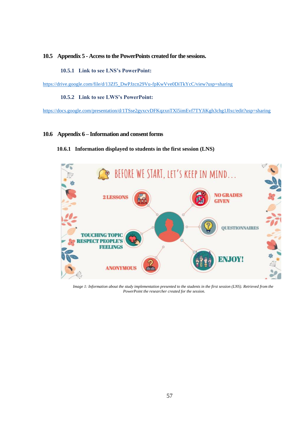#### <span id="page-56-1"></span><span id="page-56-0"></span>**10.5 Appendix 5 - Access to the PowerPoints created for the sessions.**

#### **10.5.1 Link to see LNS's PowerPoint:**

<span id="page-56-2"></span>[https://drive.google.com/file/d/13Zf5\\_DwPJzcn29Vu-fpKwVve0DiTkYcC/view?usp=sharing](https://drive.google.com/file/d/13Zf5_DwPJzcn29Vu-fpKwVve0DiTkYcC/view?usp=sharing)

#### **10.5.2 Link to see LWS's PowerPoint:**

<https://docs.google.com/presentation/d/1TSse2gyxcvDFKqzxnTXl5imEvf7TYJiKgh3chg1JIxc/edit?usp=sharing>

#### <span id="page-56-4"></span><span id="page-56-3"></span>**10.6 Appendix 6 – Information and consent forms**

#### **10.6.1 Information displayed to students in the first session (LNS)**



*Image 1: Information about the study implementation presented to the students in the first session (LNS). Retrieved from the PowerPoint the researcher created for the session.*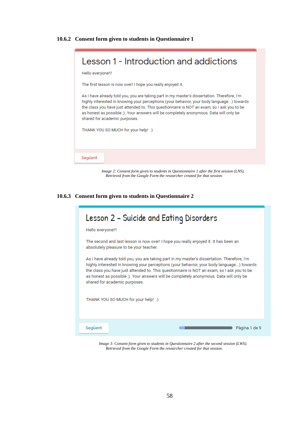<span id="page-57-0"></span>

*Image 2: Consent form given to students in Questionnaire 1 after the first session (LNS). Retrieved from the Google Form the researcher created for that session.*

<span id="page-57-1"></span>**10.6.3 Consent form given to students in Questionnaire 2**

| Lesson 2 – Suicide and Eating Disorders                                                                                                                                                                                                                                                                                                                                                                           |
|-------------------------------------------------------------------------------------------------------------------------------------------------------------------------------------------------------------------------------------------------------------------------------------------------------------------------------------------------------------------------------------------------------------------|
| Hello everyone!!!                                                                                                                                                                                                                                                                                                                                                                                                 |
| The second and last lesson is now over! I hope you really enjoyed it. It has been an<br>absolutely pleasure to be your teacher.                                                                                                                                                                                                                                                                                   |
| As I have already told you, you are taking part in my master's dissertation. Therefore, I'm<br>highly interested in knowing your perceptions (your behavior, your body language) towards<br>the class you have just attended to. This questionnaire is NOT an exam, so I ask you to be<br>as honest as possible ;). Your answers will be completely anonymous. Data will only be<br>shared for academic purposes. |
| THANK YOU SO MUCH for your help! :)                                                                                                                                                                                                                                                                                                                                                                               |
| Següent<br>Pàgina 1 de 9                                                                                                                                                                                                                                                                                                                                                                                          |

*Image 3: Consent form given to students in Questionnaire 2 after the second session (LWS). Retrieved from the Google Form the researcher created for that session.*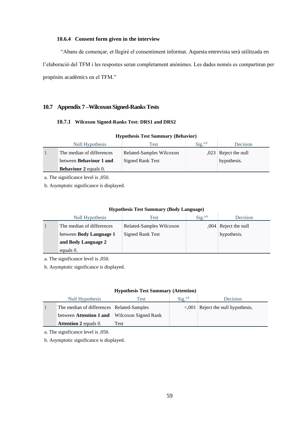#### **10.6.4 Consent form given in the interview**

<span id="page-58-0"></span>"Abans de començar, et llegiré el consentiment informat. Aquesta entrevista serà utilitzada en l'elaboració del TFM i les respostes seran completament anònimes. Les dades només es compartiran per propòsits acadèmics en el TFM."

#### <span id="page-58-2"></span><span id="page-58-1"></span>**10.7 Appendix 7 –Wilcoxon Signed-Ranks Tests**

### **10.7.1 Wilcoxon Signed-Ranks Test: DRS1 and DRS2**

| Null Hypothesis                | Test                     | $\text{Sig.}^{\text{a},\text{b}}$ | Decision               |
|--------------------------------|--------------------------|-----------------------------------|------------------------|
| The median of differences      | Related-Samples Wilcoxon |                                   | $,023$ Reject the null |
| between <b>Behaviour</b> 1 and | <b>Signed Rank Test</b>  |                                   | hypothesis.            |
| <b>Behaviour 2 equals 0.</b>   |                          |                                   |                        |

### **Hypothesis Test Summary (Behavior)**

a. The significance level is ,050.

b. Asymptotic significance is displayed.

#### **Hypothesis Test Summary (Body Language)**

| Null Hypothesis                | Test                     | $\text{Sig.}^{\text{a},\text{b}}$ | Decision               |
|--------------------------------|--------------------------|-----------------------------------|------------------------|
| The median of differences      | Related-Samples Wilcoxon |                                   | $,004$ Reject the null |
| between <b>Body Language 1</b> | <b>Signed Rank Test</b>  |                                   | hypothesis.            |
| and Body Language 2            |                          |                                   |                        |
| equals 0.                      |                          |                                   |                        |

a. The significance level is ,050.

b. Asymptotic significance is displayed.

#### **Hypothesis Test Summary (Attention)**

| Null Hypothesis                                     | Test | $\text{Sig.}^{\text{a},\text{b}}$ | <b>Decision</b>                         |
|-----------------------------------------------------|------|-----------------------------------|-----------------------------------------|
| The median of differences   Related-Samples         |      |                                   | $\leq$ ,001 Reject the null hypothesis. |
| between <b>Attention 1 and</b> Wilcoxon Signed Rank |      |                                   |                                         |
| <b>Attention 2 equals 0.</b>                        | Test |                                   |                                         |

a. The significance level is ,050.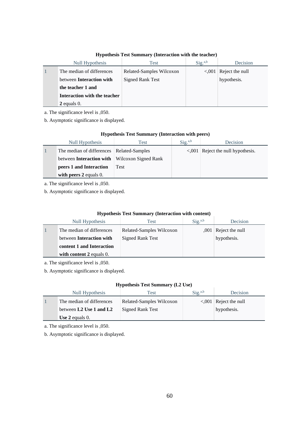| Null Hypothesis                 | Test                     | Sig. <sup>a,b</sup> | <b>Decision</b> |
|---------------------------------|--------------------------|---------------------|-----------------|
| The median of differences       | Related-Samples Wilcoxon | < 0.001             | Reject the null |
| between <b>Interaction</b> with | <b>Signed Rank Test</b>  |                     | hypothesis.     |
| the teacher 1 and               |                          |                     |                 |
| Interaction with the teacher    |                          |                     |                 |
| $2$ equals 0.                   |                          |                     |                 |

#### **Hypothesis Test Summary (Interaction with the teacher)**

a. The significance level is ,050.

b. Asymptotic significance is displayed.

#### **Hypothesis Test Summary (Interaction with peers)**

| Null Hypothesis                             | Test                        | $Sig.^{a,b}$ | <b>Decision</b>                         |
|---------------------------------------------|-----------------------------|--------------|-----------------------------------------|
| The median of differences   Related-Samples |                             |              | $\leq$ ,001 Reject the null hypothesis. |
| between <b>Interaction</b> with             | <b>Wilcoxon Signed Rank</b> |              |                                         |
| peers 1 and Interaction                     | Test                        |              |                                         |
| with peers $2$ equals 0.                    |                             |              |                                         |

a. The significance level is ,050.

b. Asymptotic significance is displayed.

#### **Hypothesis Test Summary (Interaction with content)**

| Null Hypothesis                 | Test                     | $Sig.^{a,b}$ | Decision               |
|---------------------------------|--------------------------|--------------|------------------------|
| The median of differences       | Related-Samples Wilcoxon |              | $,001$ Reject the null |
| between <b>Interaction</b> with | <b>Signed Rank Test</b>  |              | hypothesis.            |
| content 1 and Interaction       |                          |              |                        |
| with content $2$ equals 0.      |                          |              |                        |

a. The significance level is ,050.

b. Asymptotic significance is displayed.

#### **Hypothesis Test Summary (L2 Use)**

| Null Hypothesis           | Test                     | $\text{Sig.}^{\text{a},\text{b}}$ | Decision                     |
|---------------------------|--------------------------|-----------------------------------|------------------------------|
| The median of differences | Related-Samples Wilcoxon |                                   | $\leq 0.001$ Reject the null |
| between L2 Use 1 and L2   | Signed Rank Test         |                                   | hypothesis.                  |
| Use $2$ equals 0.         |                          |                                   |                              |

a. The significance level is ,050.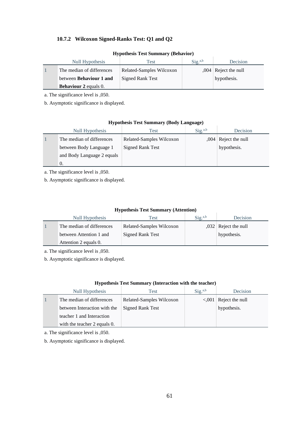# <span id="page-60-0"></span>**10.7.2 Wilcoxon Signed-Ranks Test: Q1 and Q2**

| <b>Hypothesis Test Summary (Behavior)</b> |  |  |
|-------------------------------------------|--|--|
|                                           |  |  |

| Null Hypothesis                | Test                     | $\text{Sig.}^{\text{a},\text{b}}$ | Decision               |
|--------------------------------|--------------------------|-----------------------------------|------------------------|
| The median of differences      | Related-Samples Wilcoxon |                                   | $,004$ Reject the null |
| between <b>Behaviour</b> 1 and | <b>Signed Rank Test</b>  |                                   | hypothesis.            |
| <b>Behaviour 2 equals 0.</b>   |                          |                                   |                        |

a. The significance level is ,050.

b. Asymptotic significance is displayed.

| <b>Hypothesis Test Summary (Body Language)</b> |  |  |  |
|------------------------------------------------|--|--|--|
|------------------------------------------------|--|--|--|

 $\overline{1}$ 

| Null Hypothesis            | Test                     | Sig. <sup>a,b</sup> | Decision               |
|----------------------------|--------------------------|---------------------|------------------------|
| The median of differences  | Related-Samples Wilcoxon |                     | $,004$ Reject the null |
| between Body Language 1    | <b>Signed Rank Test</b>  |                     | hypothesis.            |
| and Body Language 2 equals |                          |                     |                        |
|                            |                          |                     |                        |

a. The significance level is ,050.

b. Asymptotic significance is displayed.

### **Hypothesis Test Summary (Attention)**

| Null Hypothesis           | Test                     | $\text{Sig.}^{\text{a},\text{b}}$ | Decision               |
|---------------------------|--------------------------|-----------------------------------|------------------------|
| The median of differences | Related-Samples Wilcoxon |                                   | $,032$ Reject the null |
| between Attention 1 and   | Signed Rank Test         |                                   | hypothesis.            |
| Attention 2 equals 0.     |                          |                                   |                        |

a. The significance level is ,050.

b. Asymptotic significance is displayed.

| Null Hypothesis              | Test                     | Sig. <sup>a,b</sup> | Decision                      |  |
|------------------------------|--------------------------|---------------------|-------------------------------|--|
| The median of differences    | Related-Samples Wilcoxon |                     | $\leq$ ,001   Reject the null |  |
| between Interaction with the | <b>Signed Rank Test</b>  |                     | hypothesis.                   |  |
| teacher 1 and Interaction    |                          |                     |                               |  |
| with the teacher 2 equals 0. |                          |                     |                               |  |

#### **Hypothesis Test Summary (Interaction with the teacher)**

a. The significance level is ,050.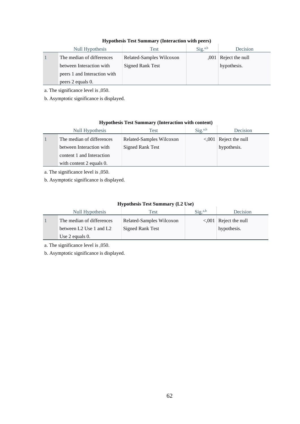### **Hypothesis Test Summary (Interaction with peers)**

| Null Hypothesis              | Test                     | Sig. <sup>a,b</sup> | Decision               |
|------------------------------|--------------------------|---------------------|------------------------|
| The median of differences    | Related-Samples Wilcoxon |                     | $,001$ Reject the null |
| between Interaction with     | <b>Signed Rank Test</b>  |                     | hypothesis.            |
| peers 1 and Interaction with |                          |                     |                        |
| peers 2 equals 0.            |                          |                     |                        |

a. The significance level is ,050.

b. Asymptotic significance is displayed.

### **Hypothesis Test Summary (Interaction with content)**

| Null Hypothesis           | Test                     | $\text{Sig.}^{\text{a},\text{b}}$ | <b>Decision</b>              |
|---------------------------|--------------------------|-----------------------------------|------------------------------|
| The median of differences | Related-Samples Wilcoxon |                                   | $\leq 0.001$ Reject the null |
| between Interaction with  | <b>Signed Rank Test</b>  |                                   | hypothesis.                  |
| content 1 and Interaction |                          |                                   |                              |
| with content 2 equals 0.  |                          |                                   |                              |

a. The significance level is ,050.

b. Asymptotic significance is displayed.

### **Hypothesis Test Summary (L2 Use)**

| Null Hypothesis           | Test                     | $\text{Sig.}^{\text{a},\text{b}}$ | Decision                      |
|---------------------------|--------------------------|-----------------------------------|-------------------------------|
| The median of differences | Related-Samples Wilcoxon |                                   | $\leq$ ,001   Reject the null |
| between L2 Use 1 and L2   | <b>Signed Rank Test</b>  |                                   | hypothesis.                   |
| Use $2$ equals 0.         |                          |                                   |                               |

a. The significance level is ,050.